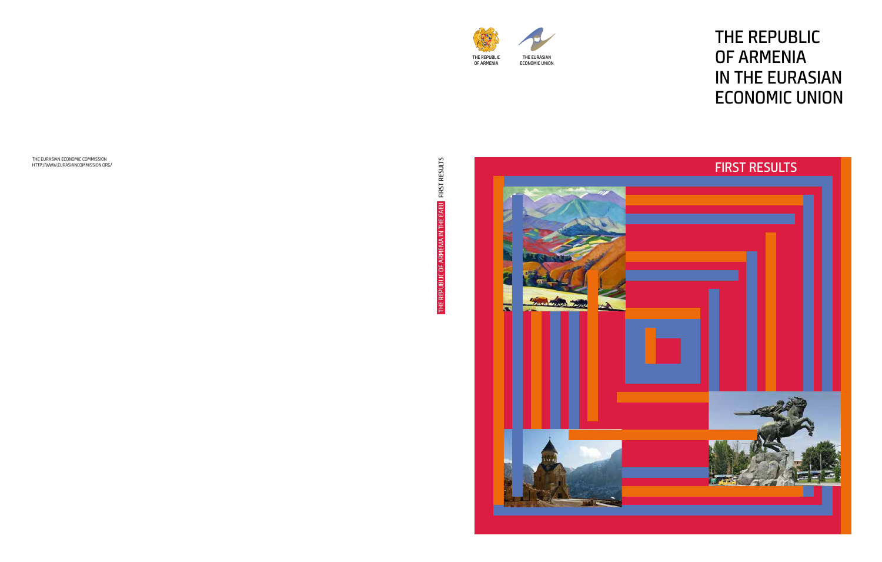



# THE REPUBLIC OF ARMENIA IN THE EURASIAN ECONOMIC UNION

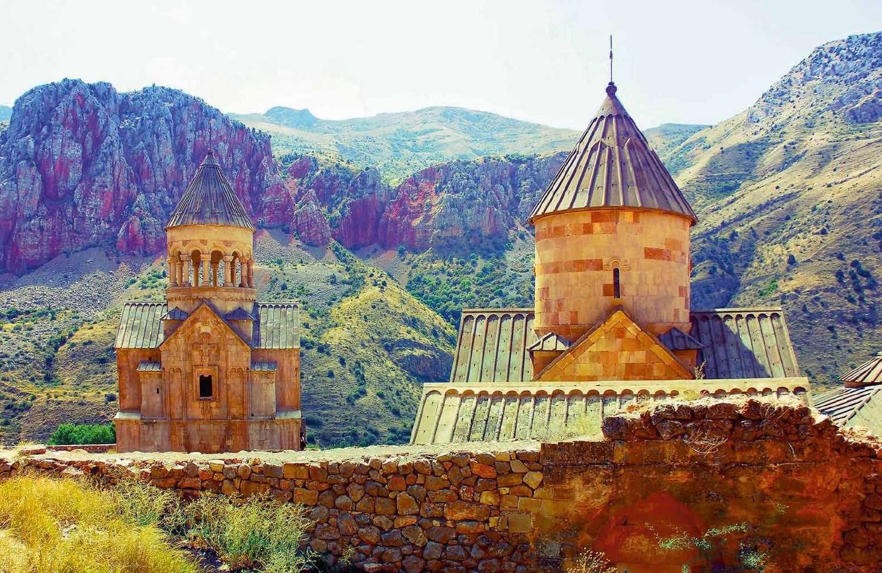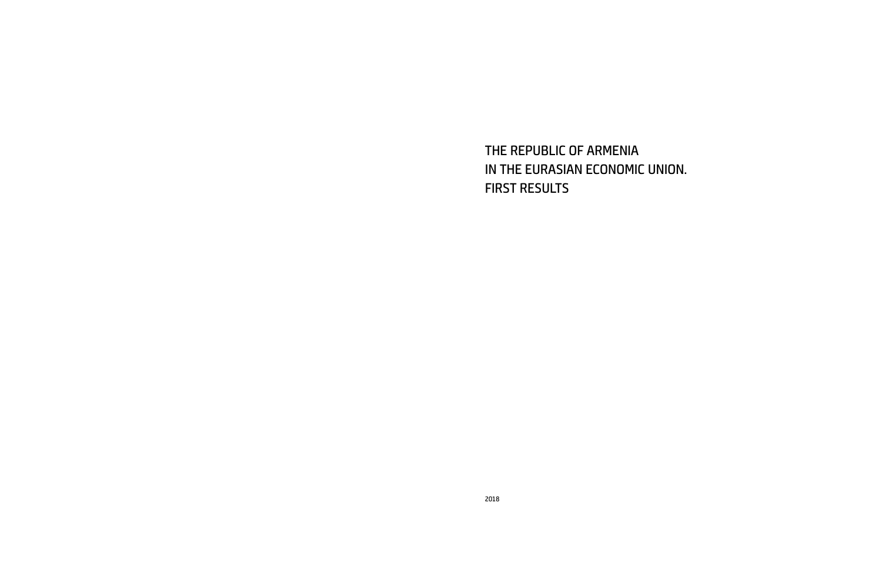THE REPUBLIC OF ARMENIA IN THE EURASIAN ECONOMIC UNION. FIRST RESULTS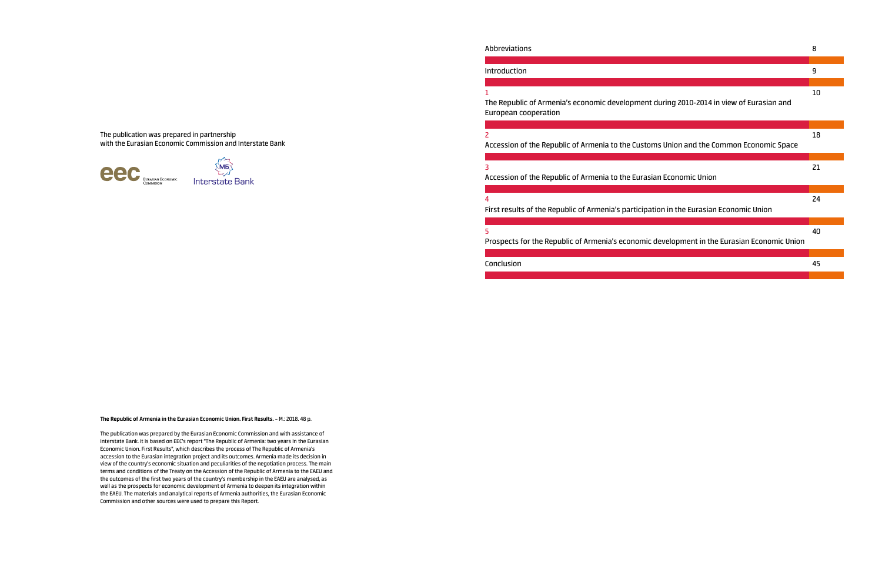**The Republic of Armenia in the Eurasian Economic Union. First Results.** – M.: 2018. 48 p.

The publication was prepared by the Eurasian Economic Commission and with assistance of Interstate Bank. It is based on EEC's report "The Republic of Armenia: two years in the Eurasian Economic Union. First Results", which describes the process of The Republic of Armenia's accession to the Eurasian integration project and its outcomes. Armenia made its decision in view of the country's economic situation and peculiarities of the negotiation process. The main terms and conditions of the Treaty on the Accession of the Republic of Armenia to the EAEU and the outcomes of the first two years of the country's membership in the EAEU are analysed, as well as the prospects for economic development of Armenia to deepen its integration within the EAEU. The materials and analytical reports of Armenia authorities, the Eurasian Economic Commission and other sources were used to prepare this Report.

# 1

#### 2

### 3

| <b>Abbreviations</b>                                                                                            | 8  |
|-----------------------------------------------------------------------------------------------------------------|----|
| Introduction                                                                                                    | 9  |
| The Republic of Armenia's economic development during 2010-2014 in view of Eurasian and<br>European cooperation | 10 |
| 2<br>Accession of the Republic of Armenia to the Customs Union and the Common Economic Space                    | 18 |
| 3<br>Accession of the Republic of Armenia to the Eurasian Economic Union                                        | 21 |
| 4<br>First results of the Republic of Armenia's participation in the Eurasian Economic Union                    | 24 |
| 5<br>Prospects for the Republic of Armenia's economic development in the Eurasian Economic Union                | 40 |
| Conclusion                                                                                                      | 45 |

### 4

#### 5

The publication was prepared in partnership with the Eurasian Economic Commission and Interstate Bank



#### **Abbreviations**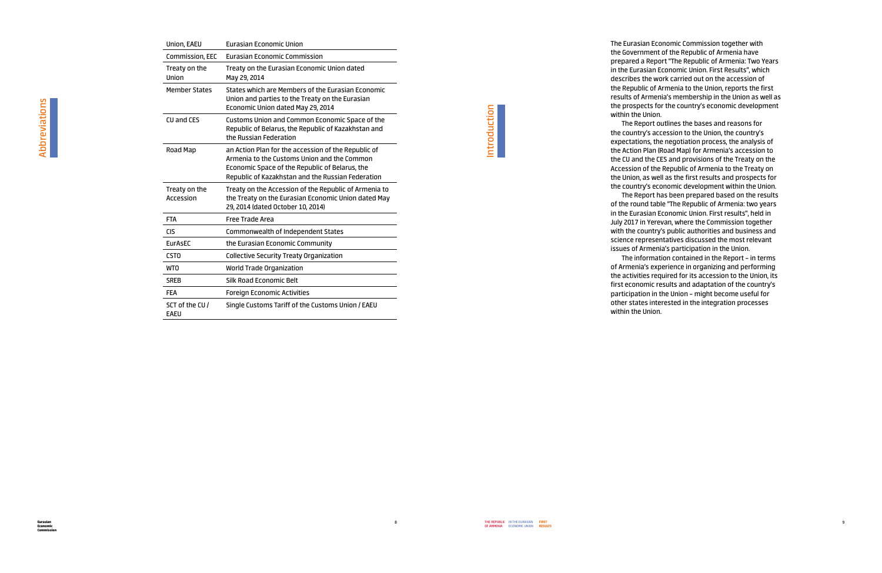8 **THE REPUBLIC**  <sup>9</sup> **OF ARMENIA** IN THE EURASIAN ECONOMIC UNION **FIRST RESULTS**

Introduction Introduction

The Eurasian Economic Commission together with the Government of the Republic of Armenia have prepared a Report "The Republic of Armenia: Two Years in the Eurasian Economic Union. First Results", which describes the work carried out on the accession of the Republic of Armenia to the Union, reports the first results of Armenia's membership in the Union as well as the prospects for the country's economic development within the Union.

The Report outlines the bases and reasons for The Report has been prepared based on the results The information contained in the Report – in terms

the country's accession to the Union, the country's expectations, the negotiation process, the analysis of the Action Plan (Road Map) for Armenia's accession to the CU and the CES and provisions of the Treaty on the Accession of the Republic of Armenia to the Treaty on the Union, as well as the first results and prospects for the country's economic development within the Union. of the round table "The Republic of Armenia: two years in the Eurasian Economic Union. First results", held in July 2017 in Yerevan, where the Commission together with the country's public authorities and business and science representatives discussed the most relevant issues of Armenia's participation in the Union. of Armenia's experience in organizing and performing the activities required for its accession to the Union, its first economic results and adaptation of the country's participation in the Union – might become useful for other states interested in the integration processes

within the Union.

| Union, EAEU                | Eurasian Economic Union                                                                                                                                                                                   |
|----------------------------|-----------------------------------------------------------------------------------------------------------------------------------------------------------------------------------------------------------|
| Commission, EEC            | <b>Eurasian Economic Commission</b>                                                                                                                                                                       |
| Treaty on the<br>Union     | Treaty on the Eurasian Economic Union dated<br>May 29, 2014                                                                                                                                               |
| <b>Member States</b>       | States which are Members of the Eurasian Economic<br>Union and parties to the Treaty on the Eurasian<br>Economic Union dated May 29, 2014                                                                 |
| CU and CES                 | Customs Union and Common Economic Space of the<br>Republic of Belarus, the Republic of Kazakhstan and<br>the Russian Federation                                                                           |
| <b>Road Map</b>            | an Action Plan for the accession of the Republic of<br>Armenia to the Customs Union and the Common<br>Economic Space of the Republic of Belarus, the<br>Republic of Kazakhstan and the Russian Federation |
| Treaty on the<br>Accession | Treaty on the Accession of the Republic of Armenia to<br>the Treaty on the Eurasian Economic Union dated May<br>29, 2014 (dated October 10, 2014)                                                         |
| <b>FTA</b>                 | <b>Free Trade Area</b>                                                                                                                                                                                    |
| <b>CIS</b>                 | Commonwealth of Independent States                                                                                                                                                                        |
| <b>EurAsEC</b>             | the Eurasian Economic Community                                                                                                                                                                           |
| <b>CSTO</b>                | <b>Collective Security Treaty Organization</b>                                                                                                                                                            |
| <b>WTO</b>                 | World Trade Organization                                                                                                                                                                                  |
| <b>SREB</b>                | Silk Road Economic Belt                                                                                                                                                                                   |
| <b>FEA</b>                 | <b>Foreign Economic Activities</b>                                                                                                                                                                        |
| SCT of the CU /<br>EAEU    | Single Customs Tariff of the Customs Union / EAEU                                                                                                                                                         |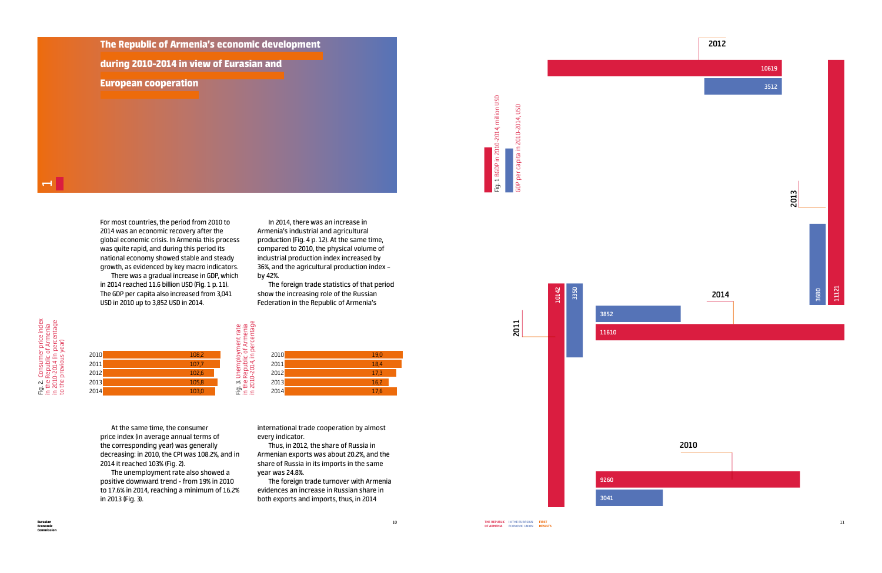# The Republic of Armenia's economic development

during 2010-2014 in view of Eurasian and

European cooperation

For most countries, the period from 2010 to 2014 was an economic recovery after the global economic crisis. In Armenia this process was quite rapid, and during this period its national economy showed stable and steady growth, as evidenced by key macro indicators.

There was a gradual increase in GDP, which in 2014 reached 11.6 billion USD (Fig. 1 р. 11). The GDP per capita also increased from 3,041 USD in 2010 up to 3,852 USD in 2014.

At the same time, the consumer price index (in average annual terms of the corresponding year) was generally decreasing: in 2010, the CPI was 108.2%, and in 2014 it reached 103% (Fig. 2).

 $\equiv$ 

The unemployment rate also showed a positive downward trend - from 19% in 2010 to 17.6% in 2014, reaching a minimum of 16.2% in 2013 (Fig. 3).

In 2014, there was an increase in Armenia's industrial and agricultural production (Fig. 4 p. 12). At the same time, compared to 2010, the physical volume of industrial production index increased by 36%, and the agricultural production index – by 42%.

The foreign trade statistics of that period show the increasing role of the Russian Federation in the Republic of Armenia's

international trade cooperation by almost every indicator.

Thus, in 2012, the share of Russia in Armenian exports was about 20.2%, and the share of Russia in its imports in the same year was 24.8%.

The foreign trade turnover with Armenia evidences an increase in Russian share in both exports and imports, thus, in 2014

|      |       | 9e<br>π<br>rate<br>nta<br>ā<br>نة<br>nent<br>per<br>ď |
|------|-------|-------------------------------------------------------|
| 2010 | 108,2 | 5<br>⋸                                                |
| 2011 | 107,7 | ਨ                                                     |
| 2012 | 102,6 | <b>Surf</b><br>Rej                                    |
| 2013 | 105,8 | ω<br>Ξ<br>m                                           |
| 2014 | 103,0 | Ξ                                                     |

| 2010 | 19.0 |  |
|------|------|--|
| 2011 | 18,4 |  |
| 2012 | 17.3 |  |
| 2013 | 16,2 |  |
| 2014 | / h  |  |









**2011**

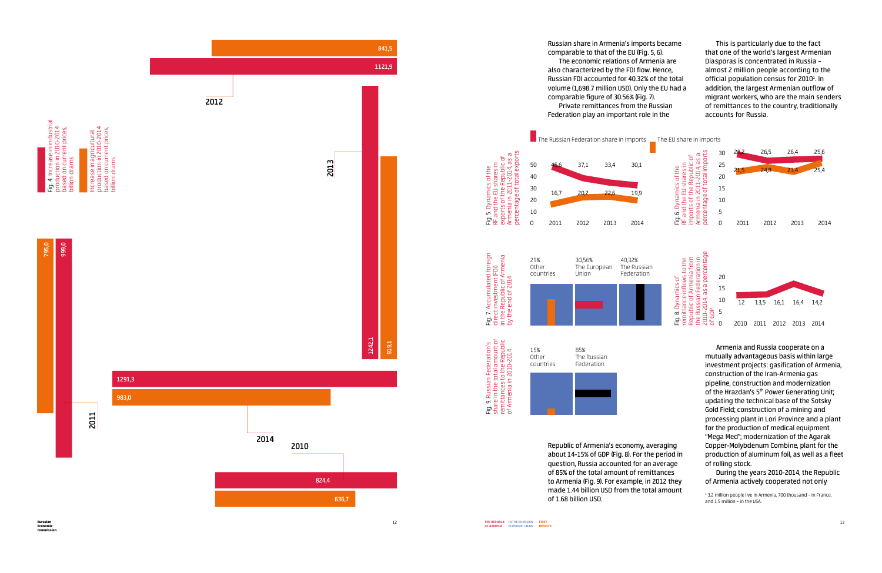

Russian share in Armenia's imports became comparable to that of the EU (Fig. 5, 6). The economic relations of Armenia are also characterized by the FDI flow. Hence, Russian FDI accounted for 40.32% of the total





<sup>1</sup> 3.2 million people live in Armenia, 700 thousand - in France, and 1.5 million – in the USA.

Republic of Armenia's economy, averaging about 14-15% of GDP (Fig. 8). For the period in question, Russia accounted for an average of 85% of the total amount of remittances to Armenia (Fig. 9). For example, in 2012 they made 1.44 billion USD from the total amount of 1.68 billion USD.

**12 THE REPUBLIC** IN THE EURASIAN **FIRST**<br>OF ARMENIA ECONOMIC UNION RESULTS

This is particularly due to the fact that one of the world's largest Armenian Diasporas is concentrated in Russia – almost 2 million people according to the official population census for 2010 1 . In addition, the largest Armenian outflow of migrant workers, who are the main senders of remittances to the country, traditionally accounts for Russia.

Armenia and Russia cooperate on a mutually advantageous basis within large investment projects: gasification of Armenia, construction of the Iran-Armenia gas pipeline, construction and modernization of the Hrazdan's 5<sup>th</sup> Power Generating Unit; updating the technical base of the Sotsky Gold Field; construction of a mining and processing plant in Lori Province and a plant for the production of medical equipment "Mega Med"; modernization of the Agarak Copper-Molybdenum Combine, plant for the production of aluminum foil, as well as a fleet of rolling stock.

During the years 2010-2014, the Republic of Armenia actively cooperated not only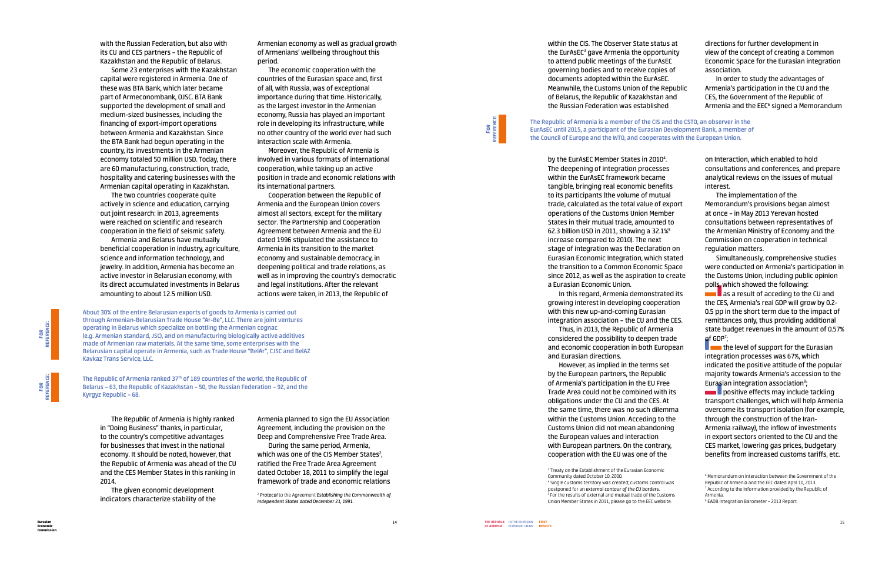**The Republic of Armenia is a member of the CIS and the CSTO, an observer in the EurAsEC until 2015, a participant of the Eurasian Development Bank, a member of the Council of Europe and the WTO, and cooperates with the European Union.**

within the CIS. The Observer State status at the EurAsEC<sup>3</sup> gave Armenia the opportunity to attend public meetings of the EurAsEC governing bodies and to receive copies of documents adopted within the EurAsEC. Meanwhile, the Customs Union of the Republic of Belarus, the Republic of Kazakhstan and the Russian Federation was established

by the EurAsEC Member States in 2010<sup>4</sup>. The deepening of integration processes within the EurAsEC framework became tangible, bringing real economic benefits to its participants (the volume of mutual trade, calculated as the total value of export operations of the Customs Union Member States in their mutual trade, amounted to 62.3 billion USD in 2011, showing a  $32.1\%$ <sup>5</sup> increase compared to 2010). The next stage of integration was the Declaration on Eurasian Economic Integration, which stated the transition to a Common Economic Space since 2012, as well as the aspiration to create a Eurasian Economic Union.

<sup>3</sup> Treaty on the Establishment of the Eurasian Economic Community dated October 10, 2000. 4 Single customs territory was created; customs control was postponed for an *external contour of the CU borders.* 5 For the results of external and mutual trade of the Customs Union Member States in 2011, please go to the EEC website.

In order to study the advantages of Armenia's participation in the CU and the CES, the Government of the Republic of Armenia and the EEC<sup>6</sup> signed a Memorandum

In this regard, Armenia demonstrated its growing interest in developing cooperation with this new up-and-coming Eurasian integration association – the CU and the CES.

Thus, in 2013, the Republic of Armenia considered the possibility to deepen trade and economic cooperation in both European and Eurasian directions.

 $\Box$  as a result of acceding to the CU and the CES, Armenia's real GDP will grow by 0.2- 0.5 pp in the short term due to the impact of remittances only, thus providing additional state budget revenues in the amount of 0.57% of GDP7 ;

 $\blacksquare$  the level of support for the Eurasian integration processes was 67%, which indicated the positive attitude of the popular majority towards Armenia's accession to the Eurasian integration association<sup>8</sup>;

However, as implied in the terms set by the European partners, the Republic of Armenia's participation in the EU Free Trade Area could not be combined with its obligations under the CU and the CES. At the same time, there was no such dilemma within the Customs Union. Acceding to the Customs Union did not mean abandoning the European values and interaction with European partners. On the contrary, cooperation with the EU was one of the

**positive effects may include tackling** transport challenges, which will help Armenia overcome its transport isolation (for example, through the construction of the Iran-

directions for further development in view of the concept of creating a Common Economic Space for the Eurasian integration association.

on Interaction, which enabled to hold consultations and conferences, and prepare analytical reviews on the issues of mutual interest.

The implementation of the Memorandum's provisions began almost at once – in May 2013 Yerevan hosted consultations between representatives of the Armenian Ministry of Economy and the Commission on cooperation in technical regulation matters.

Simultaneously, comprehensive studies were conducted on Armenia's participation in the Customs Union, including public opinion polls, which showed the following:

Armenia railway), the inflow of investments in export sectors oriented to the CU and the CES market, lowering gas prices, budgetary benefits from increased customs tariffs, etc.

The Republic of Armenia ranked 37<sup>th</sup> of 189 countries of the world, the Republic of **Belarus – 63, the Republic of Kazakhstan – 50, the Russian Federation – 92, and the Kyrgyz Republic – 68.**

with the Russian Federation, but also with its CU and CES partners – the Republic of Kazakhstan and the Republic of Belarus.

Some 23 enterprises with the Kazakhstan capital were registered in Armenia. One of these was BTA Bank, which later became part of Armeconombank, OJSC. BTA Bank supported the development of small and medium-sized businesses, including the financing of export-import operations between Armenia and Kazakhstan. Since the BTA Bank had begun operating in the country, its investments in the Armenian economy totaled 50 million USD. Today, there are 60 manufacturing, construction, trade, hospitality and catering businesses with the Armenian capital operating in Kazakhstan.

The two countries cooperate quite actively in science and education, carrying out joint research: in 2013, agreements were reached on scientific and research cooperation in the field of seismic safety.

Armenia and Belarus have mutually beneficial cooperation in industry, agriculture, science and information technology, and jewelry. In addition, Armenia has become an active investor in Belarusian economy, with its direct accumulated investments in Belarus amounting to about 12.5 million USD.

The Republic of Armenia is highly ranked in "Doing Business" thanks, in particular, to the country's competitive advantages for businesses that invest in the national economy. It should be noted, however, that the Republic of Armenia was ahead of the CU and the CES Member States in this ranking in 2014.

The given economic development indicators characterize stability of the Armenian economy as well as gradual growth of Armenians' wellbeing throughout this period.

The economic cooperation with the countries of the Eurasian space and, first of all, with Russia, was of exceptional importance during that time. Historically, as the largest investor in the Armenian economy, Russia has played an important role in developing its infrastructure, while no other country of the world ever had such interaction scale with Armenia.

Moreover, the Republic of Armenia is involved in various formats of international cooperation, while taking up an active position in trade and economic relations with its international partners.

Cooperation between the Republic of Armenia and the European Union covers almost all sectors, except for the military sector. The Partnership and Cooperation Agreement between Armenia and the EU dated 1996 stipulated the assistance to Armenia in its transition to the market economy and sustainable democracy, in deepening political and trade relations, as well as in improving the country's democratic and legal institutions. After the relevant actions were taken, in 2013, the Republic of

Armenia planned to sign the EU Association Agreement, including the provision on the Deep and Comprehensive Free Trade Area. During the same period, Armenia, which was one of the CIS Member States<sup>2</sup>, ratified the Free Trade Area Agreement dated October 18, 2011 to simplify the legal framework of trade and economic relations

<sup>2</sup> *Protocol* to the Agreement *Establishing the Commonwealth of Independent States dated December 21, 1991.*

**About 30% of the entire Belarusian exports of goods to Armenia is carried out through Armenian-Belarusian Trade House "Ar-Be", LLC. There are joint ventures operating in Belarus which specialize on bottling the Armenian cognac (e.g. Armenian standard, JSC), and on manufacturing biologically active additives made of Armenian raw materials. At the same time, some enterprises with the Belarusian capital operate in Armenia, such as Trade House "BelAr", CJSC and BelAZ Kavkaz Trans Service, LLC.**

*For reference:* 

*For reference:* 

<sup>6</sup> Memorandum on Interaction between the Government of the Republic of Armenia and the EEC dated April 10, 2013.

<sup>7</sup> According to the information provided by the Republic of Armenia.

<sup>8</sup> EADB Integration Barometer – 2013 Report.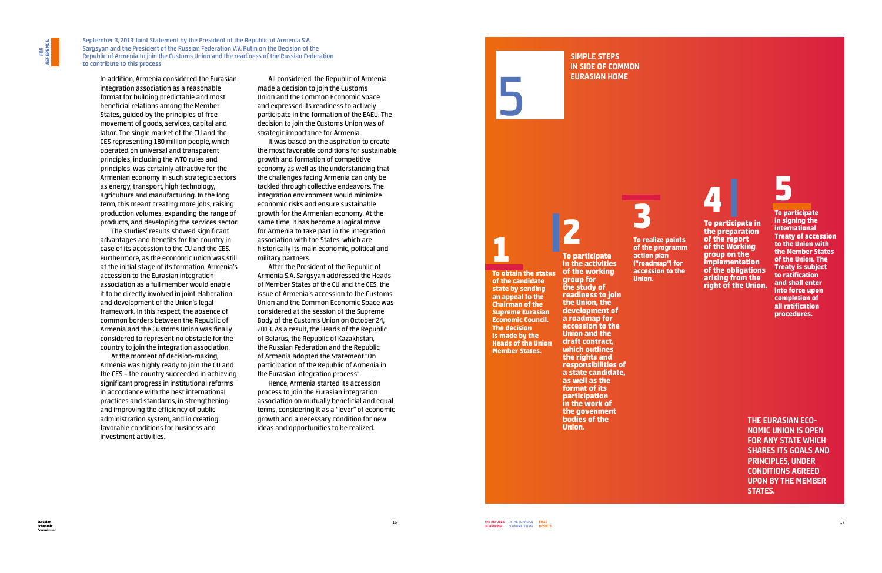

of the candidate state by sending an appeal to the Chairman of the Supreme Eurasian Economic Council. The decision is made by the Heads of the Union Member States. in the activities

group for the study of readiness to join the Union, the development of a roadmap for accession to the Union and the draft contract, which outlines the rights and responsibilities of a state candidate, as well as the format of its participation in the work of the govenment bodies of the Union.

3

To realize points of the programm action plan ("roadmap") for accession to the Union.

4

To participate in the preparation of the report of the Working group on the implementation of the obligations arising from the right of the Union.



To participate in signing the international Treaty of accession to the Union with the Member States of the Union. The Treaty is subject to ratification and shall enter into force upon completion of all ratification procedures.

**THE EURASIAN ECO-NOMIC UNION IS OPEN FOR ANY STATE WHICH SHARES ITS GOALS AND PRINCIPLES, UNDER CONDITIONS AGREED UPON BY THE MEMBER STATES.**

In addition, Armenia considered the Eurasian integration association as a reasonable format for building predictable and most beneficial relations among the Member States, guided by the principles of free movement of goods, services, capital and labor. The single market of the CU and the CES representing 180 million people, which operated on universal and transparent principles, including the WTO rules and principles, was certainly attractive for the Armenian economy in such strategic sectors as energy, transport, high technology, agriculture and manufacturing. In the long term, this meant creating more jobs, raising production volumes, expanding the range of products, and developing the services sector.

The studies' results showed significant advantages and benefits for the country in case of its accession to the CU and the CES. Furthermore, as the economic union was still at the initial stage of its formation, Armenia's accession to the Eurasian integration association as a full member would enable it to be directly involved in joint elaboration and development of the Union's legal framework. In this respect, the absence of common borders between the Republic of Armenia and the Customs Union was finally considered to represent no obstacle for the country to join the integration association.

At the moment of decision-making, Armenia was highly ready to join the CU and the CES – the country succeeded in achieving significant progress in institutional reforms in accordance with the best international practices and standards, in strengthening and improving the efficiency of public administration system, and in creating favorable conditions for business and investment activities.

All considered, the Republic of Armenia made a decision to join the Customs Union and the Common Economic Space and expressed its readiness to actively participate in the formation of the EAEU. The decision to join the Customs Union was of strategic importance for Armenia.

It was based on the aspiration to create the most favorable conditions for sustainable growth and formation of competitive economy as well as the understanding that the challenges facing Armenia can only be tackled through collective endeavors. The integration environment would minimize economic risks and ensure sustainable growth for the Armenian economy. At the same time, it has become a logical move for Armenia to take part in the integration association with the States, which are historically its main economic, political and military partners.

After the President of the Republic of Armenia S.A. Sargsyan addressed the Heads of Member States of the CU and the CES, the issue of Armenia's accession to the Customs Union and the Common Economic Space was considered at the session of the Supreme Body of the Customs Union on October 24, 2013. As a result, the Heads of the Republic of Belarus, the Republic of Kazakhstan, the Russian Federation and the Republic of Armenia adopted the Statement "On participation of the Republic of Armenia in the Eurasian integration process".

Hence, Armenia started its accession process to join the Eurasian integration association on mutually beneficial and equal terms, considering it as a "lever" of economic growth and a necessary condition for new ideas and opportunities to be realized.

**September 3, 2013 Joint Statement by the President of the Republic of Armenia S.A. Sargsyan and the President of the Russian Federation V.V. Putin оn the Decision of the Republic of Armenia to join the Customs Union and the readiness of the Russian Federation to contribute to this process**

5

# **SIMPLE STEPS IN SIDE OF COMMON EURASIAN HOME**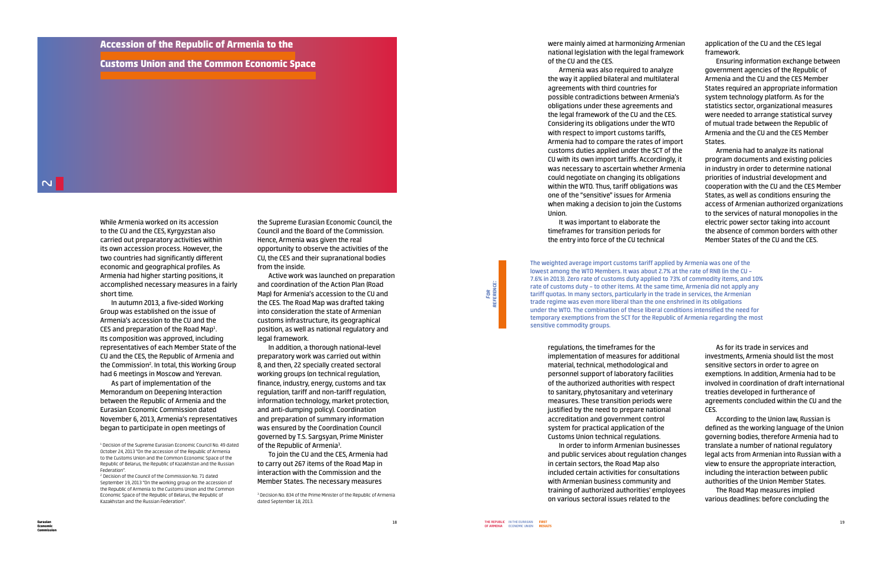$\overline{\mathsf{N}}$ 

### Accession of the Republic of Armenia to the

### Customs Union and the Common Economic Space

While Armenia worked on its accession to the CU and the CES, Kyrgyzstan also carried out preparatory activities within its own accession process. However, the two countries had significantly different economic and geographical profiles. As Armenia had higher starting positions, it accomplished necessary measures in a fairly short time.

In autumn 2013, a five-sided Working Group was established on the issue of Armenia's accession to the CU and the CES and preparation of the Road Map<sup>1</sup>. Its composition was approved, including representatives of each Member State of the CU and the CES, the Republic of Armenia and the Commission 2 . In total, this Working Group had 6 meetings in Moscow and Yerevan.

As part of implementation of the Memorandum on Deepening Interaction between the Republic of Armenia and the Eurasian Economic Commission dated November 6, 2013, Armenia's representatives began to participate in open meetings of

the Supreme Eurasian Economic Council, the Council and the Board of the Commission. Hence, Armenia was given the real opportunity to observe the activities of the CU, the CES and their supranational bodies from the inside.

Active work was launched on preparation and coordination of the Action Plan (Road Map) for Armenia's accession to the CU and the CES. The Road Map was drafted taking into consideration the state of Armenian customs infrastructure, its geographical position, as well as national regulatory and legal framework.

In addition, a thorough national-level preparatory work was carried out within 8, and then, 22 specially created sectoral working groups (on technical regulation, finance, industry, energy, customs and tax regulation, tariff and non-tariff regulation, information technology, market protection, and anti-dumping policy). Coordination and preparation of summary information was ensured by the Coordination Council governed by T.S. Sargsyan, Prime Minister of the Republic of Armenia<sup>3</sup> .

To join the CU and the CES, Armenia had to carry out 267 items of the Road Map in interaction with the Commission and the Member States. The necessary measures

were mainly aimed at harmonizing Armenian national legislation with the legal framework of the CU and the CES.

Armenia was also required to analyze the way it applied bilateral and multilateral agreements with third countries for possible contradictions between Armenia's obligations under these agreements and the legal framework of the CU and the CES. Considering its obligations under the WTO with respect to import customs tariffs, Armenia had to compare the rates of import customs duties applied under the SCT of the CU with its own import tariffs. Accordingly, it was necessary to ascertain whether Armenia could negotiate on changing its obligations within the WTO. Thus, tariff obligations was one of the "sensitive" issues for Armenia when making a decision to join the Customs Union.

It was important to elaborate the timeframes for transition periods for the entry into force of the CU technical

regulations, the timeframes for the implementation of measures for additional material, technical, methodological and personnel support of laboratory facilities of the authorized authorities with respect to sanitary, phytosanitary and veterinary measures. These transition periods were justified by the need to prepare national accreditation and government control system for practical application of the Customs Union technical regulations.

In order to inform Armenian businesses and public services about regulation changes in certain sectors, the Road Map also included certain activities for consultations with Armenian business community and training of authorized authorities' employees on various sectoral issues related to the

application of the CU and the CES legal framework.

Ensuring information exchange between government agencies of the Republic of Armenia and the CU and the CES Member States required an appropriate information system technology platform. As for the statistics sector, organizational measures were needed to arrange statistical survey of mutual trade between the Republic of Armenia and the CU and the CES Member States.

Armenia had to analyze its national program documents and existing policies in industry in order to determine national priorities of industrial development and cooperation with the CU and the CES Member States, as well as conditions ensuring the access of Armenian authorized organizations to the services of natural monopolies in the electric power sector taking into account the absence of common borders with other Member States of the CU and the CES.

As for its trade in services and investments, Armenia should list the most sensitive sectors in order to agree on exemptions. In addition, Armenia had to be involved in coordination of draft international treaties developed in furtherance of agreements concluded within the CU and the CES.

According to the Union law, Russian is defined as the working language of the Union governing bodies, therefore Armenia had to translate a number of national regulatory legal acts from Armenian into Russian with a view to ensure the appropriate interaction, including the interaction between public authorities of the Union Member States.

The Road Map measures implied various deadlines: before concluding the

**The weighted average import customs tariff applied by Armenia was one of the lowest among the WTO Members. It was about 2.7% at the rate of RNB (in the CU – 7.6% in 2013). Zero rate of customs duty applied to 73% of commodity items, and 10% rate of customs duty – to other items. At the same time, Armenia did not apply any tariff quotas. In many sectors, particularly in the trade in services, the Armenian trade regime was even more liberal than the one enshrined in its obligations under the WTO. The combination of these liberal conditions intensified the need for temporary exemptions from the SCT for the Republic of Armenia regarding the most sensitive commodity groups.**

<sup>1</sup> Decision of the Supreme Eurasian Economic Council No. 49 dated October 24, 2013 "On the accession of the Republic of Armenia to the Customs Union and the Common Economic Space of the Republic of Belarus, the Republic of Kazakhstan and the Russian Federation".

<sup>&</sup>lt;sup>3</sup> Decision No. 834 of the Prime Minister of the Republic of Armenia dated September 18, 2013.

<sup>2</sup> Decision of the Council of the Commission No. 71 dated September 19, 2013 "On the working group on the accession of the Republic of Armenia to the Customs Union and the Common Economic Space of the Republic of Belarus, the Republic of Kazakhstan and the Russian Federation".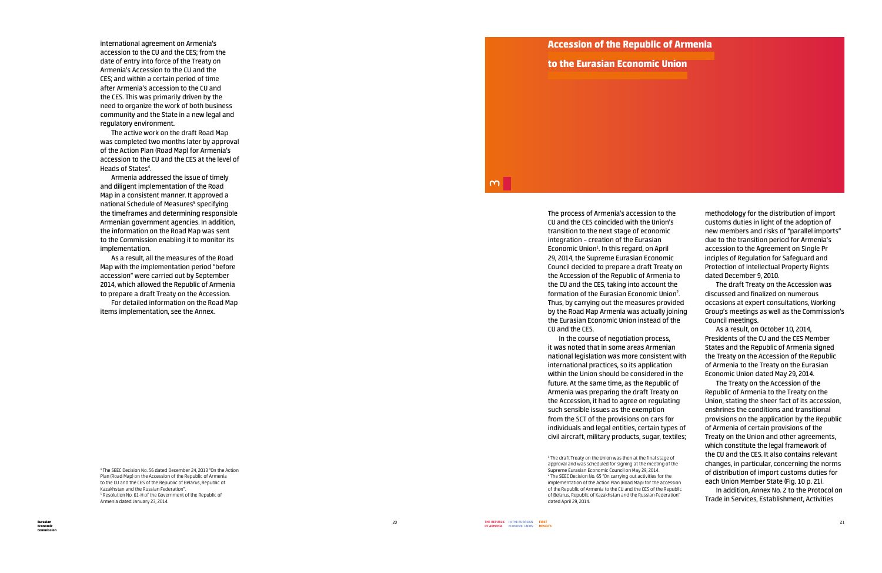international agreement on Armenia's accession to the CU and the CES; from the date of entry into force of the Treaty on Armenia's Accession to the CU and the CES; and within a certain period of time after Armenia's accession to the CU and the CES. This was primarily driven by the need to organize the work of both business community and the State in a new legal and regulatory environment.

The active work on the draft Road Map was completed two months later by approval of the Action Plan (Road Map) for Armenia's accession to the CU and the CES at the level of Heads of States 4 .

Armenia addressed the issue of timely and diligent implementation of the Road Map in a consistent manner. It approved a national Schedule of Measures 5 specifying the timeframes and determining responsible Armenian government agencies. In addition, the information on the Road Map was sent to the Commission enabling it to monitor its implementation.

As a result, all the measures of the Road Map with the implementation period "before accession" were carried out by September 2014, which allowed the Republic of Armenia to prepare a draft Treaty on the Accession.

For detailed information on the Road Map items implementation, see the Annex.

4 The SEEC Decision No. 56 dated December 24, 2013 "On the Action Plan (Road Map) on the Accession of the Republic of Armenia to the CU and the CES of the Republic of Belarus, Republic of Kazakhstan and the Russian Federation". 5 Resolution No. 61-H of the Government of the Republic of Armenia dated January 23, 2014.

<sup>1</sup> The draft Treaty on the Union was then at the final stage of approval and was scheduled for signing at the meeting of the Supreme Eurasian Economic Council on May 29, 2014. 2 The SEEC Decision No. 65 "On carrying out activities for the implementation of the Action Plan (Road Map) for the accession of the Republic of Armenia to the CU and the CES of the Republic of Belarus, Republic of Kazakhstan and the Russian Federation" dated April 29, 2014.



# to the Eurasian Economic Union

 $\sim$ 

The process of Armenia's accession to the CU and the CES coincided with the Union's transition to the next stage of economic integration – creation of the Eurasian Economic Union 1 . In this regard, on April 29, 2014, the Supreme Eurasian Economic Council decided to prepare a draft Treaty on the Accession of the Republic of Armenia to the CU and the CES, taking into account the formation of the Eurasian Economic Union 2 . Thus, by carrying out the measures provided by the Road Map Armenia was actually joining the Eurasian Economic Union instead of the CU and the CES.

In the course of negotiation process, it was noted that in some areas Armenian national legislation was more consistent with international practices, so its application within the Union should be considered in the future. At the same time, as the Republic of Armenia was preparing the draft Treaty on the Accession, it had to agree on regulating such sensible issues as the exemption from the SCT of the provisions on cars for individuals and legal entities, certain types of civil aircraft, military products, sugar, textiles;

methodology for the distribution of import customs duties in light of the adoption of new members and risks of "parallel imports" due to the transition period for Armenia's accession to the Agreement on Single Pr inciples of Regulation for Safeguard and Protection of Intellectual Property Rights dated December 9, 2010.

The draft Treaty on the Accession was discussed and finalized on numerous occasions at expert consultations, Working Group's meetings as well as the Commission's Council meetings.

As a result, on October 10, 2014, Presidents of the CU and the CES Member States and the Republic of Armenia signed the Treaty on the Accession of the Republic of Armenia to the Treaty on the Eurasian Economic Union dated May 29, 2014.

The Treaty on the Accession of the Republic of Armenia to the Treaty on the Union, stating the sheer fact of its accession, enshrines the conditions and transitional provisions on the application by the Republic of Armenia of certain provisions of the Treaty on the Union and other agreements, which constitute the legal framework of the CU and the CES. It also contains relevant changes, in particular, concerning the norms of distribution of import customs duties for each Union Member State (Fig. 10 p. 21).

In addition, Annex No. 2 to the Protocol on Trade in Services, Establishment, Activities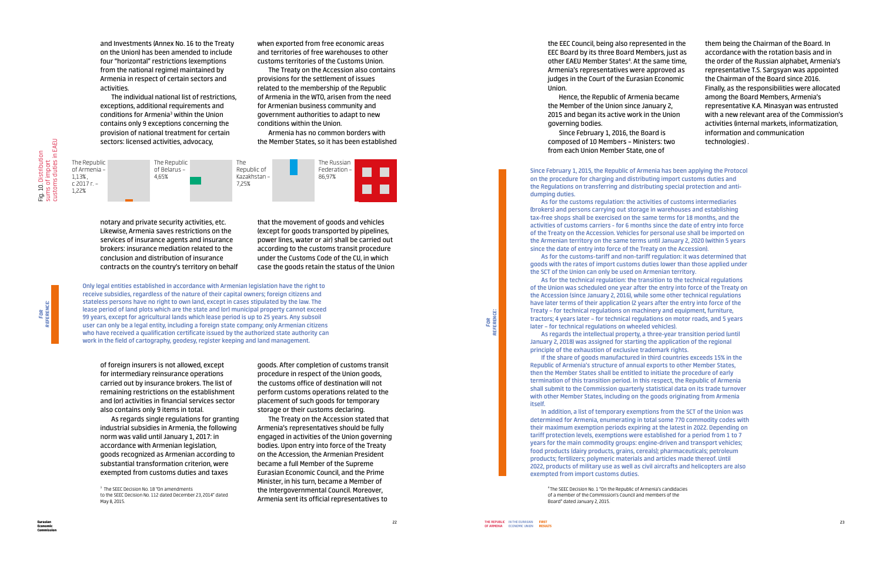and Investments (Annex No. 16 to the Treaty on the Union) has been amended to include four "horizontal" restrictions (exemptions from the national regime) maintained by Armenia in respect of certain sectors and activities.

The individual national list of restrictions, exceptions, additional requirements and conditions for Armenia<sup>3</sup> within the Union contains only 9 exceptions concerning the provision of national treatment for certain sectors: licensed activities, advocacy,

notary and private security activities, etc. Likewise, Armenia saves restrictions on the services of insurance agents and insurance brokers: insurance mediation related to the conclusion and distribution of insurance contracts on the country's territory on behalf

of foreign insurers is not allowed, except for intermediary reinsurance operations carried out by insurance brokers. The list of remaining restrictions on the establishment and (or) activities in financial services sector also contains only 9 items in total.

As regards single regulations for granting industrial subsidies in Armenia, the following norm was valid until January 1, 2017: in accordance with Armenian legislation, goods recognized as Armenian according to substantial transformation criterion, were exempted from customs duties and taxes

3 The SEEC Decision No. 18 "On amendments to the SEEC Decision No. 112 dated December 23, 2014" dated May 8, 2015.

when exported from free economic areas and territories of free warehouses to other customs territories of the Customs Union.

The Treaty on the Accession also contains provisions for the settlement of issues related to the membership of the Republic of Armenia in the WTO, arisen from the need for Armenian business community and government authorities to adapt to new conditions within the Union.

Armenia has no common borders with the Member States, so it has been established

that the movement of goods and vehicles (except for goods transported by pipelines, power lines, water or air) shall be carried out according to the customs transit procedure under the Customs Code of the CU, in which case the goods retain the status of the Union

goods. After completion of customs transit procedure in respect of the Union goods, the customs office of destination will not perform customs operations related to the placement of such goods for temporary storage or their customs declaring.

The Treaty on the Accession stated that Armenia's representatives should be fully engaged in activities of the Union governing bodies. Upon entry into force of the Treaty on the Accession, the Armenian President became a full Member of the Supreme Eurasian Economic Council, and the Prime Minister, in his turn, became a Member of the Intergovernmental Council. Moreover, Armenia sent its official representatives to

**Only legal entities established in accordance with Armenian legislation have the right to receive subsidies, regardless of the nature of their capital owners; foreign citizens and stateless persons have no right to own land, except in cases stipulated by the law. The lease period of land plots which are the state and (or) municipal property cannot exceed 99 years, except for agricultural lands which lease period is up to 25 years. Any subsoil user can only be a legal entity, including a foreign state company; only Armenian citizens who have received a qualification certificate issued by the authorized state authority can work in the field of cartography, geodesy, register keeping and land management.**

the EEC Council, being also represented in the EEC Board by its three Board Members, just as other EAEU Member States<sup>4</sup>. At the same time, Armenia's representatives were approved as judges in the Court of the Eurasian Economic Union.

Hence, the Republic of Armenia became the Member of the Union since January 2, 2015 and began its active work in the Union governing bodies.

Since February 1, 2016, the Board is composed of 10 Members – Ministers: two from each Union Member State, one of

4 The SEEC Decision No. 1 "On the Republic of Armenia's candidacies of a member of the Commission's Council and members of the Board" dated January 2, 2015.

**Since February 1, 2015, the Republic of Armenia has been applying the Protocol on the procedure for charging and distributing import customs duties and the Regulations on transferring and distributing special protection and antidumping duties.**

**As for the customs regulation: the activities of customs intermediaries (brokers) and persons carrying out storage in warehouses and establishing tax-free shops shall be exercised on the same terms for 18 months, and the activities of customs carriers - for 6 months since the date of entry into force of the Treaty on the Accession. Vehicles for personal use shall be imported on the Armenian territory on the same terms until January 2, 2020 (within 5 years since the date of entry into force of the Treaty on the Accession).**

**As for the customs-tariff and non-tariff regulation: it was determined that goods with the rates of import customs duties lower than those applied under the SCT of the Union can only be used on Armenian territory.**

**As for the technical regulation: the transition to the technical regulations of the Union was scheduled one year after the entry into force of the Treaty on the Accession (since January 2, 2016), while some other technical regulations have later terms of their application (2 years after the entry into force of the Treaty – for technical regulations on machinery and equipment, furniture, tractors; 4 years later – for technical regulations on motor roads, and 5 years later – for technical regulations on wheeled vehicles).**



**As regards the intellectual property, a three-year transition period (until January 2, 2018) was assigned for starting the application of the regional principle of the exhaustion of exclusive trademark rights.**

**If the share of goods manufactured in third countries exceeds 15% in the Republic of Armenia's structure of annual exports to other Member States, then the Member States shall be entitled to initiate the procedure of early termination of this transition period. In this respect, the Republic of Armenia shall submit to the Commission quarterly statistical data on its trade turnover with other Member States, including on the goods originating from Armenia itself.**

**In addition, a list of temporary exemptions from the SCT of the Union was determined for Armenia, enumerating in total some 770 commodity codes with their maximum exemption periods expiring at the latest in 2022. Depending on tariff protection levels, exemptions were established for a period from 1 to 7 years for the main commodity groups: engine-driven and transport vehicles; food products (dairy products, grains, cereals); pharmaceuticals; petroleum products; fertilizers; polymeric materials and articles made thereof. Until 2022, products of military use as well as civil aircrafts and helicopters are also exempted from import customs duties.**

them being the Chairman of the Board. In accordance with the rotation basis and in the order of the Russian alphabet, Armenia's representative T.S. Sargsyan was appointed the Chairman of the Board since 2016. Finally, as the responsibilities were allocated among the Board Members, Armenia's representative K.A. Minasyan was entrusted with a new relevant area of the Commission's activities (internal markets, informatization, information and communication technologies) .

*For reference:*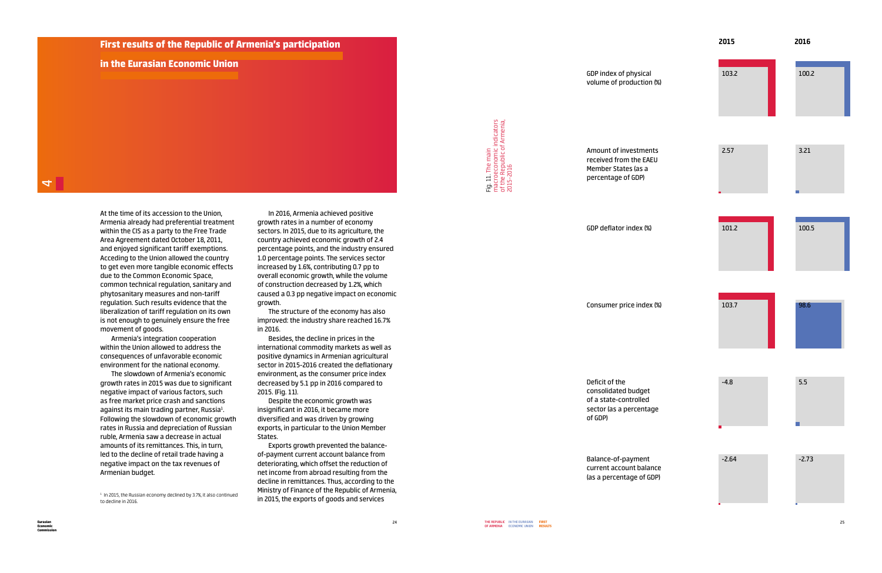| 103.2 |  |
|-------|--|
|       |  |
|       |  |
|       |  |
|       |  |
|       |  |
|       |  |

| 2.57 |  |  |
|------|--|--|
|      |  |  |
|      |  |  |
| -    |  |  |

At the time of its accession to the Union, Armenia already had preferential treatment within the CIS as a party to the Free Trade Area Agreement dated October 18, 2011, and enjoyed significant tariff exemptions. Acceding to the Union allowed the country to get even more tangible economic effects due to the Common Economic Space, common technical regulation, sanitary and phytosanitary measures and non-tariff regulation. Such results evidence that the liberalization of tariff regulation on its own is not enough to genuinely ensure the free movement of goods.

Armenia's integration cooperation within the Union allowed to address the consequences of unfavorable economic environment for the national economy.

The slowdown of Armenia's economic growth rates in 2015 was due to significant negative impact of various factors, such as free market price crash and sanctions against its main trading partner, Russia<sup>1</sup>. Following the slowdown of economic growth rates in Russia and depreciation of Russian ruble, Armenia saw a decrease in actual amounts of its remittances. This, in turn, led to the decline of retail trade having a negative impact on the tax revenues of Armenian budget.

In 2016, Armenia achieved positive growth rates in a number of economy sectors. In 2015, due to its agriculture, the country achieved economic growth of 2.4 percentage points, and the industry ensured 1.0 percentage points. The services sector increased by 1.6%, contributing 0.7 pp to overall economic growth, while the volume of construction decreased by 1.2%, which caused a 0.3 pp negative impact on economic growth.

The structure of the economy has also improved: the industry share reached 16.7% in 2016.

Besides, the decline in prices in the international commodity markets as well as positive dynamics in Armenian agricultural sector in 2015-2016 created the deflationary environment, as the consumer price index decreased by 5.1 pp in 2016 compared to 2015. (Fig. 11).

Despite the economic growth was insignificant in 2016, it became more diversified and was driven by growing exports, in particular to the Union Member States.

Exports growth prevented the balanceof-payment current account balance from deteriorating, which offset the reduction of net income from abroad resulting from the decline in remittances. Thus, according to the Ministry of Finance of the Republic of Armenia, in 2015, the exports of goods and services

# First results of the Republic of Armenia's participation

### in the Eurasian Economic Union

4

GDP index of physical volume of production (%)



Amount of investments received from the EAEU Member States (as a percentage of GDP)

Consumer price index (%)



| 103.7 |  |
|-------|--|
|       |  |
|       |  |
|       |  |
|       |  |
|       |  |
|       |  |





Deficit of the consolidated budget of a state-controlled sector (as a percentage of GDP)



Balance-of-payment current account balance (as a percentage of GDP)









2015-2016

**2015 2016**

<sup>&</sup>lt;sup>1</sup> In 2015, the Russian economy declined by 3.7%, it also continued to decline in 2016.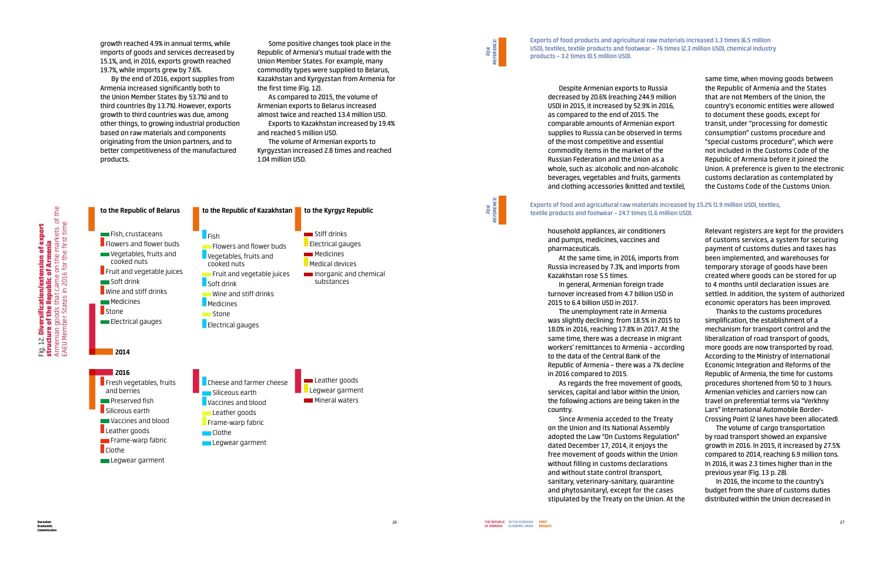growth reached 4.9% in annual terms, while imports of goods and services decreased by 15.1%, and, in 2016, exports growth reached 19.7%, while imports grew by 7.6%.

By the end of 2016, export supplies from Armenia increased significantly both to the Union Member States (by 53.7%) and to third countries (by 13.7%). However, exports growth to third countries was due, among other things, to growing industrial production based on raw materials and components originating from the Union partners, and to better competitiveness of the manufactured products.

Some positive changes took place in the Republic of Armenia's mutual trade with the Union Member States. For example, many commodity types were supplied to Belarus, Kazakhstan and Kyrgyzstan from Armenia for the first time (Fig. 12).

g. 12. **Diversification/extension of export**<br>tructure of the Republic of Armenia<br>rmenian goods that came on the markets of the<br>AEU Member States in 2016 for the first time Armenian goods that came on the markets of the EAEU Member States in 2016 for the first time Fig. 12. Diversification/extension of export structure of the Republic of Armenia

As compared to 2015, the volume of Armenian exports to Belarus increased almost twice and reached 13.4 million USD.

Exports to Kazakhstan increased by 19.4% and reached 5 million USD.

The volume of Armenian exports to Kyrgyzstan increased 2.8 times and reached 1.04 million USD.

| to the Republic of Belarus                                                                                                                                                                                                                        | to the Republic of Kazakhstan                                                                                                                                                                   | to the Kyrgyz Republic                                                                                                  |
|---------------------------------------------------------------------------------------------------------------------------------------------------------------------------------------------------------------------------------------------------|-------------------------------------------------------------------------------------------------------------------------------------------------------------------------------------------------|-------------------------------------------------------------------------------------------------------------------------|
| Fish, crustaceans<br>Flowers and flower buds<br>Vegetables, fruits and<br>cooked nuts<br>Fruit and vegetable juices<br>$\blacksquare$ Soft drink<br>Wine and stiff drinks<br><b>Medicines</b><br><b>Stone</b><br>$\blacksquare$ Electrical gauges | Fish<br>Flowers and flower buds<br>Vegetables, fruits and<br>cooked nuts<br>Fruit and vegetable juices<br>Soft drink<br>Wine and stiff drinks<br>Medicines<br>Stone<br><b>Electrical gauges</b> | Stiff drinks<br><b>Electrical gauges</b><br><b>Medicines</b><br>Medical devices<br>Inorganic and chemical<br>substances |
| 2014<br>2016<br>Fresh vegetables, fruits<br>and berries<br>Preserved fish<br>Silicenus earth<br>Vaccines and blood<br>Leather goods                                                                                                               | Cheese and farmer cheese<br>Siliceous earth<br>Vaccines and blood<br>Leather goods<br>Frame-warp fabric<br>Clothe                                                                               | Leather goods<br>Legwear garment<br>Mineral waters                                                                      |

Despite Armenian exports to Russia decreased by 20.6% (reaching 244.9 million USD) in 2015, it increased by 52.9% in 2016, as compared to the end of 2015. The comparable amounts of Armenian export supplies to Russia can be observed in terms of the most competitive and essential commodity items in the market of the Russian Federation and the Union as a whole, such as: alcoholic and non-alcoholic beverages, vegetables and fruits, garments and clothing accessories (knitted and textile),

household appliances, air conditioners and pumps, medicines, vaccines and pharmaceuticals.

At the same time, in 2016, imports from Russia increased by 7.3%, and imports from Kazakhstan rose 5.5 times.

In general, Armenian foreign trade turnover increased from 4.7 billion USD in 2015 to 6.4 billion USD in 2017.

The unemployment rate in Armenia was slightly declining: from 18.5% in 2015 to 18.0% in 2016, reaching 17.8% in 2017. At the same time, there was a decrease in migrant workers' remittances to Armenia – according to the data of the Central Bank of the Republic of Armenia – there was a 7% decline in 2016 compared to 2015.

As regards the free movement of goods, services, capital and labor within the Union, the following actions are being taken in the country.

Since Armenia acceded to the Treaty on the Union and its National Assembly adopted the Law "On Customs Regulation" dated December 17, 2014, it enjoys the free movement of goods within the Union without filling in customs declarations and without state control (transport, sanitary, veterinary-sanitary, quarantine and phytosanitary), except for the cases stipulated by the Treaty on the Union. At the

**THE REPUBLIC** IN THE EURASIAN **PREST<br>OF ARMENIA** ECONOMIC UNION RESULTS

same time, when moving goods between the Republic of Armenia and the States that are not Members of the Union, the country's economic entities were allowed to document these goods, except for transit, under "processing for domestic consumption" customs procedure and "special customs procedure", which were not included in the Customs Code of the Republic of Armenia before it joined the Union. A preference is given to the electronic customs declaration as contemplated by the Customs Code of the Customs Union.

Relevant registers are kept for the providers of customs services, a system for securing payment of customs duties and taxes has been implemented, and warehouses for temporary storage of goods have been created where goods can be stored for up to 4 months until declaration issues are settled. In addition, the system of authorized economic operators has been improved.

Thanks to the customs procedures simplification, the establishment of a mechanism for transport control and the liberalization of road transport of goods, more goods are now transported by road. According to the Ministry of International Economic Integration and Reforms of the Republic of Armenia, the time for customs procedures shortened from 50 to 3 hours. Armenian vehicles and carriers now can travel on preferential terms via "Verkhny Lars" International Automobile Border-Crossing Point (2 lanes have been allocated).

The volume of cargo transportation by road transport showed an expansive growth in 2016. In 2015, it increased by 27.5% compared to 2014, reaching 6.9 million tons. In 2016, it was 2.3 times higher than in the previous year (Fig. 13 p. 28).

In 2016, the income to the country's budget from the share of customs duties distributed within the Union decreased in

**Exports of food products and agricultural raw materials increased 1.3 times (6.5 million USD), textiles, textile products and footwear – 76 times (2.3 million USD), chemical industry products – 3.2 times (0.5 million USD).**

#### **Exports of food and agricultural raw materials increased by 15.2% (1.9 million USD), textiles, textile products and footwear – 24.7 times (1.6 million USD).**

*For* 

*reference:* 

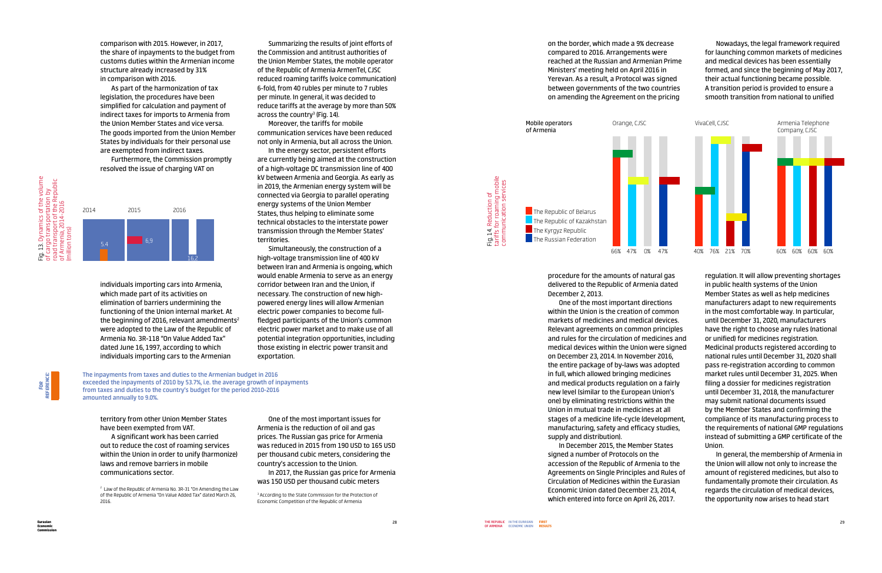comparison with 2015. However, in 2017, the share of inpayments to the budget from customs duties within the Armenian income structure already increased by 31% in comparison with 2016.

Summarizing the results of joint efforts of the Commission and antitrust authorities of the Union Member States, the mobile operator of the Republic of Armenia ArmenTel, CJSC reduced roaming tariffs (voice communication) 6-fold, from 40 rubles per minute to 7 rubles per minute. In general, it was decided to reduce tariffs at the average by more than 50% across the country<sup>3</sup> (Fig. 14).

As part of the harmonization of tax legislation, the procedures have been simplified for calculation and payment of indirect taxes for imports to Armenia from the Union Member States and vice versa. The goods imported from the Union Member States by individuals for their personal use are exempted from indirect taxes.

Furthermore, the Commission promptly resolved the issue of charging VAT on

Fig. 13. Dynamics of the volume of cargo transportation by

Moreover, the tariffs for mobile communication services have been reduced not only in Armenia, but all across the Union.

In the energy sector, persistent efforts are currently being aimed at the construction of a high-voltage DC transmission line of 400 kV between Armenia and Georgia. As early as in 2019, the Armenian energy system will be connected via Georgia to parallel operating energy systems of the Union Member States, thus helping to eliminate some technical obstacles to the interstate power transmission through the Member States' territories.

Simultaneously, the construction of a high-voltage transmission line of 400 kV between Iran and Armenia is ongoing, which would enable Armenia to serve as an energy corridor between Iran and the Union, if necessary. The construction of new highpowered energy lines will allow Armenian electric power companies to become fullfledged participants of the Union's common electric power market and to make use of all potential integration opportunities, including those existing in electric power transit and exportation.



One of the most important issues for Armenia is the reduction of oil and gas prices. The Russian gas price for Armenia was reduced in 2015 from 190 USD to 165 USD per thousand cubic meters, considering the country's accession to the Union.

In 2017, the Russian gas price for Armenia was 150 USD per thousand cubic meters

individuals importing cars into Armenia, which made part of its activities on elimination of barriers undermining the functioning of the Union internal market. At the beginning of 2016, relevant amendments<sup>2</sup> were adopted to the Law of the Republic of Armenia No. 3R-118 "On Value Added Tax" dated June 16, 1997, according to which individuals importing cars to the Armenian

territory from other Union Member States have been exempted from VAT.

A significant work has been carried out to reduce the cost of roaming services within the Union in order to unify (harmonize) laws and remove barriers in mobile communications sector.

2 Law of the Republic of Armenia No. 3R-31 "On Amending the Law of the Republic of Armenia "On Value Added Tax" dated March 26, 2016.

**The inpayments from taxes and duties to the Armenian budget in 2016 exceeded the inpayments of 2010 by 53.7%, i.e. the average growth of inpayments from taxes and duties to the country's budget for the period 2010-2016 amounted annually to 9.0%.**

on the border, which made a 9% decrease compared to 2016. Arrangements were reached at the Russian and Armenian Prime Ministers' meeting held on April 2016 in Yerevan. As a result, a Protocol was signed between governments of the two countries on amending the Agreement on the pricing

procedure for the amounts of natural gas delivered to the Republic of Armenia dated December 2, 2013.

One of the most important directions within the Union is the creation of common markets of medicines and medical devices. Relevant agreements on common principles and rules for the circulation of medicines and medical devices within the Union were signed on December 23, 2014. In November 2016, the entire package of by-laws was adopted in full, which allowed bringing medicines and medical products regulation on a fairly new level (similar to the European Union's one) by eliminating restrictions within the Union in mutual trade in medicines at all stages of a medicine life-cycle (development, manufacturing, safety and efficacy studies, supply and distribution).

In December 2015, the Member States signed a number of Protocols on the accession of the Republic of Armenia to the Agreements on Single Principles and Rules of Circulation of Medicines within the Eurasian Economic Union dated December 23, 2014, which entered into force on April 26, 2017.

Nowadays, the legal framework required for launching common markets of medicines and medical devices has been essentially formed, and since the beginning of May 2017, their actual functioning became possible. A transition period is provided to ensure a smooth transition from national to unified

regulation. It will allow preventing shortages in public health systems of the Union Member States as well as help medicines manufacturers adapt to new requirements in the most comfortable way. In particular, until December 31, 2020, manufacturers have the right to choose any rules (national or unified) for medicines registration. Medicinal products registered according to national rules until December 31, 2020 shall pass re-registration according to common market rules until December 31, 2025. When filing a dossier for medicines registration until December 31, 2018, the manufacturer may submit national documents issued by the Member States and confirming the compliance of its manufacturing process to the requirements of national GMP regulations instead of submitting a GMP certificate of the Union.

In general, the membership of Armenia in the Union will allow not only to increase the amount of registered medicines, but also to fundamentally promote their circulation. As regards the circulation of medical devices, the opportunity now arises to head start



<sup>&</sup>lt;sup>3</sup> According to the State Commission for the Protection of Economic Competition of the Republic of Armenia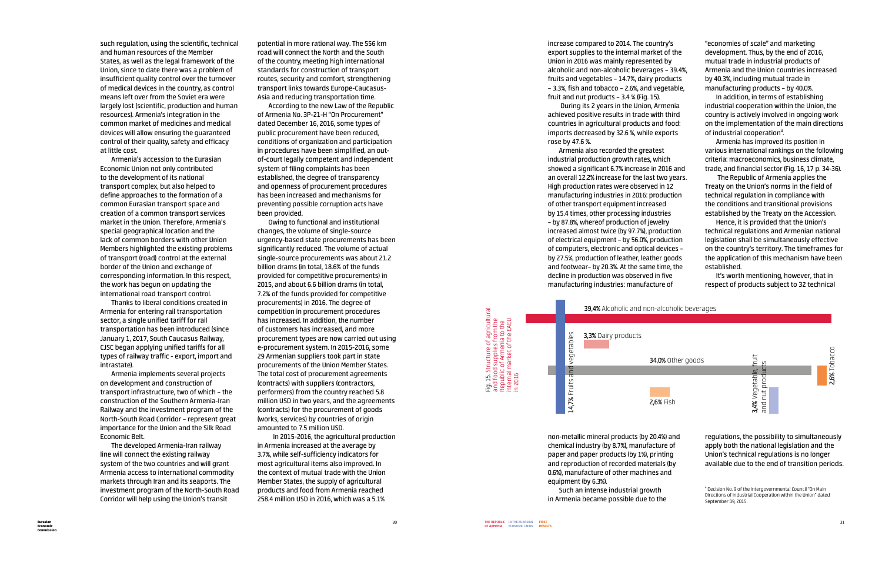such regulation, using the scientific, technical and human resources of the Member States, as well as the legal framework of the Union, since to date there was a problem of insufficient quality control over the turnover of medical devices in the country, as control means left over from the Soviet era were largely lost (scientific, production and human resources). Armenia's integration in the common market of medicines and medical devices will allow ensuring the guaranteed control of their quality, safety and efficacy at little cost.

Armenia's accession to the Eurasian Economic Union not only contributed to the development of its national transport complex, but also helped to define approaches to the formation of a common Eurasian transport space and creation of a common transport services market in the Union. Therefore, Armenia's special geographical location and the lack of common borders with other Union Members highlighted the existing problems of transport (road) control at the external border of the Union and exchange of corresponding information. In this respect, the work has begun on updating the international road transport control.

Thanks to liberal conditions created in Armenia for entering rail transportation sector, a single unified tariff for rail transportation has been introduced (since January 1, 2017, South Caucasus Railway, CJSC began applying unified tariffs for all types of railway traffic - export, import and intrastate).

Armenia implements several projects on development and construction of transport infrastructure, two of which – the construction of the Southern Armenia-Iran Railway and the investment program of the North-South Road Corridor – represent great importance for the Union and the Silk Road Economic Belt.

The developed Armenia-Iran railway line will connect the existing railway system of the two countries and will grant Armenia access to international commodity markets through Iran and its seaports. The investment program of the North-South Road Corridor will help using the Union's transit

potential in more rational way. The 556 km road will connect the North and the South of the country, meeting high international standards for construction of transport routes, security and comfort, strengthening transport links towards Europe-Caucasus-Asia and reducing transportation time.

According to the new Law of the Republic of Armenia No. ЗР-21-Н "On Procurement" dated December 16, 2016, some types of public procurement have been reduced, conditions of organization and participation in procedures have been simplified, an outof-court legally competent and independent system of filing complaints has been established, the degree of transparency and openness of procurement procedures has been increased and mechanisms for preventing possible corruption acts have been provided.

Owing to functional and institutional changes, the volume of single-source urgency-based state procurements has been significantly reduced. The volume of actual single-source procurements was about 21.2 billion drams (in total, 18.6% of the funds provided for competitive procurements) in 2015, and about 6.6 billion drams (in total, 7.2% of the funds provided for competitive procurements) in 2016. The degree of competition in procurement procedures has increased. In addition, the number of customers has increased, and more procurement types are now carried out using e-procurement system. In 2015-2016, some 29 Armenian suppliers took part in state procurements of the Union Member States. The total cost of procurement agreements (contracts) with suppliers (contractors, performers) from the country reached 5.8 million USD in two years, and the agreements (contracts) for the procurement of goods (works, services) by countries of origin amounted to 7.5 million USD.

> 4 Decision No. 9 of the Intergovernmental Council "On Main Directions of Industrial Cooperation within the Union" dated Sentember 09, 2015.

 In 2015-2016, the agricultural production in Armenia increased at the average by 3.7%, while self-sufficiency indicators for most agricultural items also improved. In the context of mutual trade with the Union Member States, the supply of agricultural products and food from Armenia reached 258.4 million USD in 2016, which was a 5.1%

increase compared to 2014. The country's export supplies to the internal market of the Union in 2016 was mainly represented by alcoholic and non-alcoholic beverages – 39.4%, fruits and vegetables – 14.7%, dairy products – 3.3%, fish and tobacco – 2.6%, and vegetable, fruit and nut products – 3.4 % (Fig. 15).

 During its 2 years in the Union, Armenia achieved positive results in trade with third countries in agricultural products and food: imports decreased by 32.6 %, while exports rose by 47.6 %.

Armenia also recorded the greatest industrial production growth rates, which showed a significant 6.7% increase in 2016 and an overall 12.2% increase for the last two years. High production rates were observed in 12 manufacturing industries in 2016: production of other transport equipment increased by 15.4 times, other processing industries – by 87.8%, whereof production of jewelry increased almost twice (by 97.7%), production of electrical equipment – by 56.0%, production of computers, electronic and optical devices – by 27.5%, production of leather, leather goods and footwear– by 20.3%. At the same time, the decline in production was observed in five manufacturing industries: manufacture of

non-metallic mineral products (by 20.4%) and chemical industry (by 8.7%), manufacture of paper and paper products (by 1%), printing and reproduction of recorded materials (by 0.6%), manufacture of other machines and equipment (by 6.3%).

Such an intense industrial growth in Armenia became possible due to the



"economies of scale" and marketing development. Thus, by the end of 2016, mutual trade in industrial products of Armenia and the Union countries increased by 40.3%, including mutual trade in manufacturing products – by 40.0%.

In addition, in terms of establishing industrial cooperation within the Union, the country is actively involved in ongoing work on the implementation of the main directions of industrial cooperation<sup>4</sup>. .

Armenia has improved its position in various international rankings on the following criteria: macroeconomics, business climate, trade, and financial sector (Fig. 16, 17 p. 34-36).

 The Republic of Armenia applies the Treaty on the Union's norms in the field of technical regulation in compliance with the conditions and transitional provisions established by the Treaty on the Accession.

Hence, it is provided that the Union's technical regulations and Armenian national legislation shall be simultaneously effective on the country's territory. The timeframes for the application of this mechanism have been established.

It's worth mentioning, however, that in respect of products subject to 32 technical

#### regulations, the possibility to simultaneously apply both the national legislation and the Union's technical regulations is no longer available due to the end of transition periods.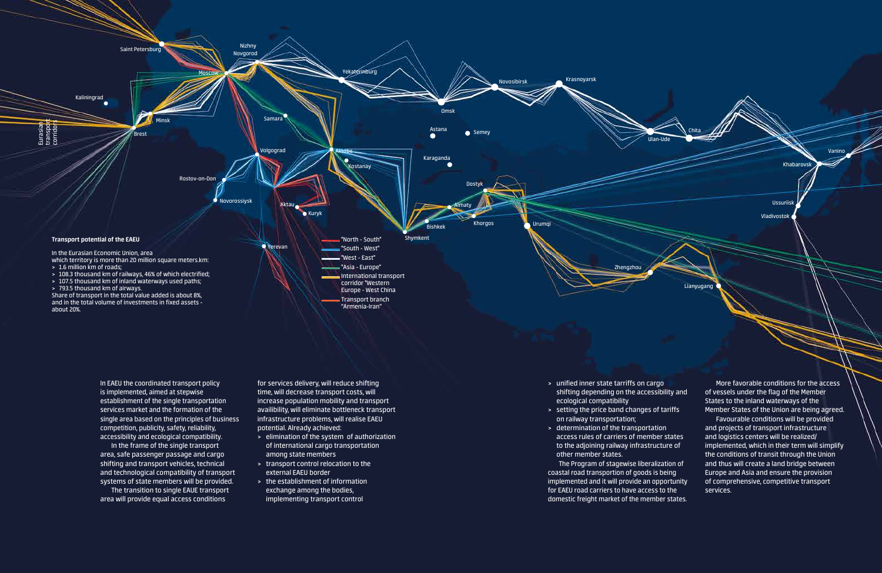Vladivostok

Ussuriisk

Khabarovsk

Vanino



In EAEU the coordinated transport policy is implemented, aimed at stepwise establishment of the single transportation services market and the formation of the single area based on the principles of business competition, publicity, safety, reliability, accessibility and ecological compatibility.

In the frame of the single transport area, safe passenger passage and cargo shifting and transport vehicles, technical and technological compatibility of transport systems of state members will be provided.

The transition to single EAUE transport area will provide equal access conditions

for services delivery, will reduce shifting time, will decrease transport costs, will increase population mobility and transport availibility, will eliminate bottleneck transport infrastructure problems, will realise EAEU potential. Already achieved:

- > elimination of the system of authorization of international cargo transportation among state members
- > transport control relocation to the external EAEU border
- > the establishment of information exchange among the bodies, implementing transport control
- > unified inner state tarriffs on cargo shifting depending on the accessibility and ecological compatibility
- > setting the price band changes of tariffs on railway transportation;
- > determination of the transportation access rules of carriers of member states to the adjoining railway infrastructure of other member states.

The Program of stagewise liberalization of coastal road transportion of goods is being implemented and it will provide an opportunity for EAEU road carriers to have access to the domestic freight market of the member states.

More favorable conditions for the access of vessels under the flag of the Member States to the inland waterways of the Member States of the Union are being agreed. Favourable conditions will be provided and projects of transport infrastructure and logistics centers will be realized/ implemented, which in their term will simplify the conditions of transit through the Union and thus will create a land bridge between Europe and Asia and ensure the provision of comprehensive, competitive transport services.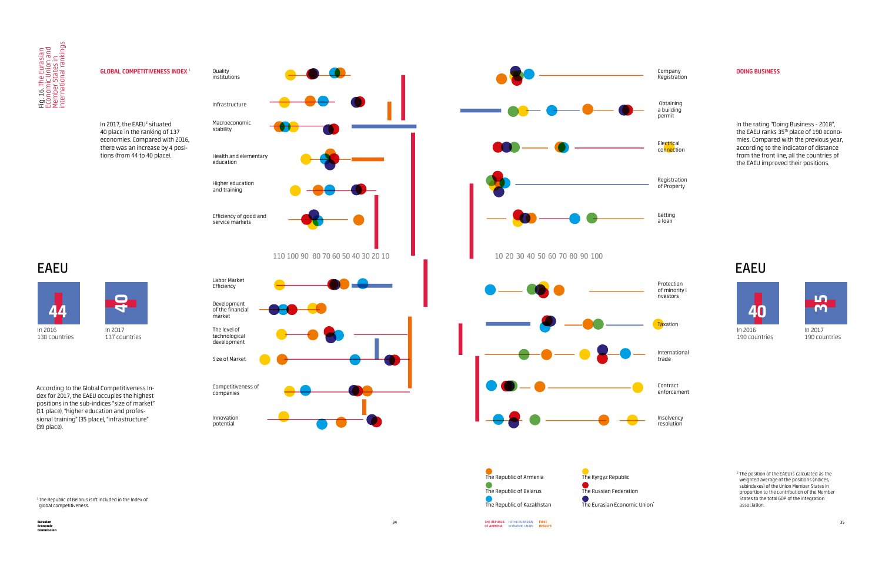In 2016 138 countries





**Electrical** connection

In the rating "Doing Business - 2018", the EAEU ranks 35<sup>th</sup> place of 190 economies. Compared with the previous year, according to the indicator of distance from the front line, all the countries of the EAEU improved their positions.

Company Registration

> $2$  The position of the EAEU is calculated as the weighted average of the positions (indices, subindexes) of the Union Member States in proportion to the contribution of the Member States to the total GDP of the integration association.

 Obtaining a building permit

Registration of Property

Getting a loan

Protection of minority i nvestors

**Taxation** 

International trade

Contract enforcement

Insolvency resolution



In 2017 190 countries

Fig. 16. The Republic of Belarus<br>The European Competition Competibility<br>Competitive in international States in international Republic Union<br>11. The European Economic Union and Member States in the Substitution<br>11. Place, " According to the Global Competitiveness Index for 2017, the EAEU occupies the highest positions in the sub-indices "size of market" (11 place), "higher education and professional training" (35 place), "infrastructure" (39 place).

<sup>1</sup> The Republic of Belarus isn't included in the Index of global competitiveness.



#### **DOING BUSINESS**



**THE REPUBLIC** IN THE EURASIAN **FIRST**<br>OF ARMENIA ECONOMIC UNION RESULTS

Fig. 16. The Eurasian<br>Economic Union and<br>Member States in<br>international rankings



EAEU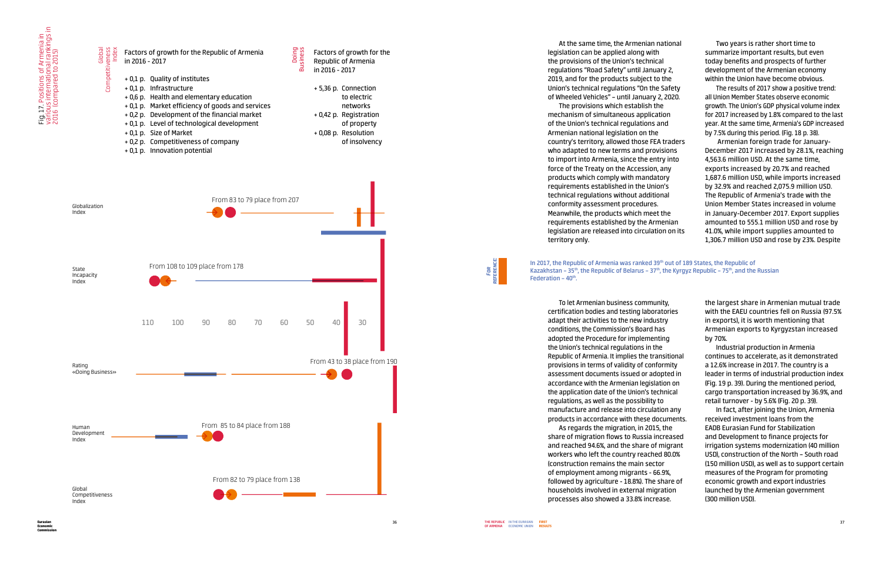17. Positions of Armenia in<br>ious international rankings in<br>.6 (compared to 2015) various international rankings in Fig. 17. Positions of Armenia in 2016 (compared to 2015) ia sed<br>Line

Eurasian Economic Commission

At the same time, the Armenian national legislation can be applied along with the provisions of the Union's technical regulations "Road Safety" until January 2, 2019, and for the products subject to the Union's technical regulations "On the Safety of Wheeled Vehicles" – until January 2, 2020.

The provisions which establish the mechanism of simultaneous application of the Union's technical regulations and Armenian national legislation on the country's territory, allowed those FEA traders who adapted to new terms and provisions to import into Armenia, since the entry into force of the Treaty on the Accession, any products which comply with mandatory requirements established in the Union's technical regulations without additional conformity assessment procedures. Meanwhile, the products which meet the requirements established by the Armenian legislation are released into circulation on its territory only.

In 2017, the Republic of Armenia was ranked 39<sup>th</sup> out of 189 States, the Republic of Kazakhstan – 35<sup>th</sup>, the Republic of Belarus – 37<sup>th</sup>, the Kyrgyz Republic – 75<sup>th</sup>, and the Russian Federation - 40<sup>th</sup>.

To let Armenian business community, certification bodies and testing laboratories adapt their activities to the new industry conditions, the Commission's Board has adopted the Procedure for implementing the Union's technical regulations in the Republic of Armenia. It implies the transitional provisions in terms of validity of conformity assessment documents issued or adopted in accordance with the Armenian legislation on the application date of the Union's technical regulations, as well as the possibility to manufacture and release into circulation any products in accordance with these documents.

As regards the migration, in 2015, the share of migration flows to Russia increased and reached 94.6%, and the share of migrant workers who left the country reached 80.0% (construction remains the main sector of employment among migrants - 66.9%, followed by agriculture - 18.8%). The share of households involved in external migration processes also showed a 33.8% increase.

Two years is rather short time to summarize important results, but even today benefits and prospects of further development of the Armenian economy within the Union have become obvious.

The results of 2017 show a positive trend: all Union Member States observe economic growth. The Union's GDP physical volume index for 2017 increased by 1.8% compared to the last year. At the same time, Armenia's GDP increased by 7.5% during this period. (Fig. 18 p. 38).

 Armenian foreign trade for January-December 2017 increased by 28.1%, reaching 4,563.6 million USD. At the same time, exports increased by 20.7% and reached 1,687.6 million USD, while imports increased by 32.9% and reached 2,075.9 million USD. The Republic of Armenia's trade with the Union Member States increased in volume in January-December 2017. Export supplies amounted to 555.1 million USD and rose by 41.0%, while import supplies amounted to 1,306.7 million USD and rose by 23%. Despite

the largest share in Armenian mutual trade with the EAEU countries fell on Russia (97.5% in exports), it is worth mentioning that Armenian exports to Kyrgyzstan increased by 70%.

Industrial production in Armenia continues to accelerate, as it demonstrated a 12.6% increase in 2017. The country is a leader in terms of industrial production index (Fig. 19 p. 39). During the mentioned period, cargo transportation increased by 36.9%, and retail turnover - by 5.6% (Fig. 20 p. 39).

In fact, after joining the Union, Armenia received investment loans from the EADB Eurasian Fund for Stabilization and Development to finance projects for irrigation systems modernization (40 million USD), construction of the North – South road (150 million USD), as well as to support certain measures of the Program for promoting economic growth and export industries launched by the Armenian government (300 million USD).

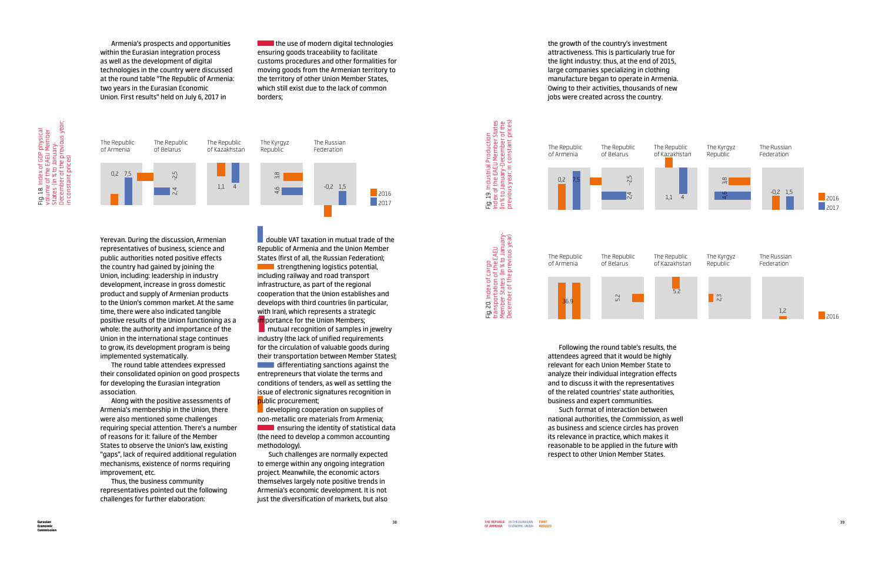Armenia's prospects and opportunities within the Eurasian integration process as well as the development of digital technologies in the country were discussed at the round table "The Republic of Armenia: two years in the Eurasian Economic Union. First results" held on July 6, 2017 in

Yerevan. During the discussion, Armenian representatives of business, science and public authorities noted positive effects the country had gained by joining the Union, including: leadership in industry development, increase in gross domestic product and supply of Armenian products to the Union's common market. At the same time, there were also indicated tangible positive results of the Union functioning as a whole: the authority and importance of the Union in the international stage continues to grow, its development program is being implemented systematically.

**The use of modern digital technologies** ensuring goods traceability to facilitate customs procedures and other formalities for moving goods from the Armenian territory to the territory of other Union Member States, which still exist due to the lack of common borders;

ig. 18. Index of GDP physical<br>volume of the EAEU Member<br>states (in % to January-<br>December of the previous year;<br>n constant prices) December of the previous year; Fig. 18. Index of GDP physical volume of the EAEU Member States (in % to Januaryin constant prices) para<br>2002<br>2015<br>2016 .ම ලි

> The round table attendees expressed their consolidated opinion on good prospects for developing the Eurasian integration association.

> Along with the positive assessments of Armenia's membership in the Union, there were also mentioned some challenges requiring special attention. There's a number of reasons for it: failure of the Member States to observe the Union's law, existing "gaps", lack of required additional regulation mechanisms, existence of norms requiring improvement, etc.

developing cooperation on supplies of non-metallic ore materials from Armenia;

**Example 15 and 10 years of statistical data** (the need to develop a common accounting methodology).

Thus, the business community representatives pointed out the following challenges for further elaboration:

 double VAT taxation in mutual trade of the Republic of Armenia and the Union Member States (first of all, the Russian Federation); strengthening logistics potential, including railway and road transport

infrastructure, as part of the regional cooperation that the Union establishes and develops with third countries (in particular, with Iran), which represents a strategic

mportance for the Union Members;  $\blacksquare$  mutual recognition of samples in jewelry industry (the lack of unified requirements for the circulation of valuable goods during their transportation between Member States); differentiating sanctions against the entrepreneurs that violate the terms and conditions of tenders, as well as settling the issue of electronic signatures recognition in public procurement;

Such challenges are normally expected to emerge within any ongoing integration project. Meanwhile, the economic actors themselves largely note positive trends in Armenia's economic development. It is not just the diversification of markets, but also



the growth of the country's investment attractiveness. This is particularly true for the light industry: thus, at the end of 2015, large companies specializing in clothing manufacture began to operate in Armenia. Owing to their activities, thousands of new jobs were created across the country.

Following the round table's results, the attendees agreed that it would be highly relevant for each Union Member State to analyze their individual integration effects and to discuss it with the representatives of the related countries' state authorities, business and expert communities.

Such format of interaction between national authorities, the Commission, as well as business and science circles has proven its relevance in practice, which makes it reasonable to be applied in the future with respect to other Union Member States.





1,2

 $\sqrt{2}$ 

 $\Box$ 2016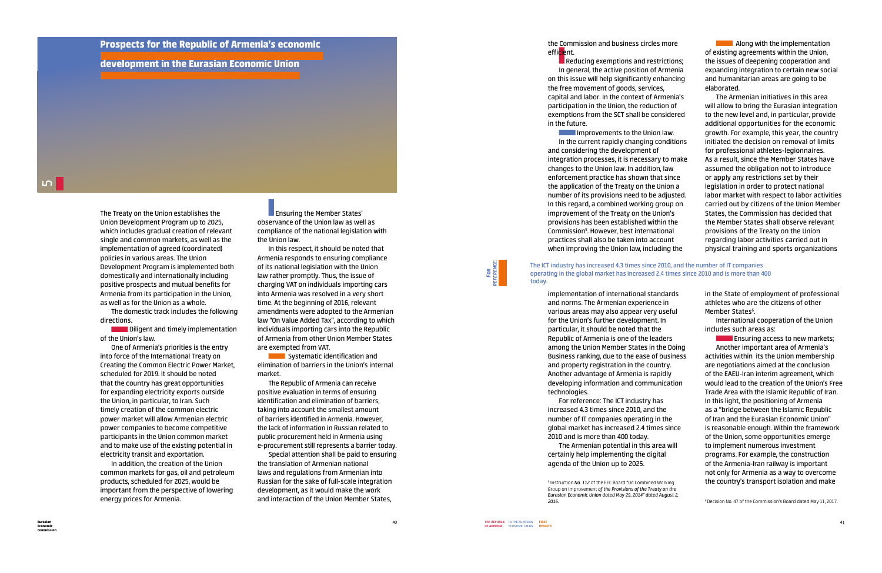The Treaty on the Union establishes the Union Development Program up to 2025, which includes gradual creation of relevant single and common markets, as well as the implementation of agreed (coordinated) policies in various areas. The Union Development Program is implemented both domestically and internationally including positive prospects and mutual benefits for Armenia from its participation in the Union, as well as for the Union as a whole.

**Diligent and timely implementation** of the Union's law.

The domestic track includes the following directions.

**Ensuring the Member States'** observance of the Union law as well as compliance of the national legislation with the Union law.

One of Armenia's priorities is the entry into force of the International Treaty on Creating the Common Electric Power Market, scheduled for 2019. It should be noted that the country has great opportunities for expanding electricity exports outside the Union, in particular, to Iran. Such timely creation of the common electric power market will allow Armenian electric power companies to become competitive participants in the Union common market and to make use of the existing potential in electricity transit and exportation.

**Systematic identification and** elimination of barriers in the Union's internal market.

In addition, the creation of the Union common markets for gas, oil and petroleum products, scheduled for 2025, would be important from the perspective of lowering energy prices for Armenia.

the Commission and business circles more efficient.

**Reducing exemptions and restrictions;** In general, the active position of Armenia on this issue will help significantly enhancing the free movement of goods, services, capital and labor. In the context of Armenia's participation in the Union, the reduction of exemptions from the SCT shall be considered in the future.

In this respect, it should be noted that Armenia responds to ensuring compliance of its national legislation with the Union law rather promptly. Thus, the issue of charging VAT on individuals importing cars into Armenia was resolved in a very short time. At the beginning of 2016, relevant amendments were adopted to the Armenian law "On Value Added Tax", according to which individuals importing cars into the Republic of Armenia from other Union Member States are exempted from VAT.

**IMPROVEMENTS to the Union law.** In the current rapidly changing conditions and considering the development of integration processes, it is necessary to make changes to the Union law. In addition, law enforcement practice has shown that since the application of the Treaty on the Union a number of its provisions need to be adjusted. In this regard, a combined working group on improvement of the Treaty on the Union's provisions has been established within the Commission<sup>5</sup>. However, best international practices shall also be taken into account when improving the Union law, including the

The Republic of Armenia can receive positive evaluation in terms of ensuring identification and elimination of barriers, taking into account the smallest amount of barriers identified in Armenia. However, the lack of information in Russian related to public procurement held in Armenia using e-procurement still represents a barrier today.

**Along with the implementation** of existing agreements within the Union, the issues of deepening cooperation and expanding integration to certain new social and humanitarian areas are going to be elaborated.

Special attention shall be paid to ensuring the translation of Armenian national laws and regulations from Armenian into Russian for the sake of full-scale integration development, as it would make the work and interaction of the Union Member States,

# Prospects for the Republic of Armenia's economic

# development in the Eurasian Economic Union

ഥ ∣

**EXECUTE:** Ensuring access to new markets; Another important area of Armenia's activities within its the Union membership are negotiations aimed at the conclusion of the EAEU-Iran interim agreement, which would lead to the creation of the Union's Free Trade Area with the Islamic Republic of Iran. In this light, the positioning of Armenia as a "bridge between the Islamic Republic of Iran and the Eurasian Economic Union" is reasonable enough. Within the framework of the Union, some opportunities emerge to implement numerous investment programs. For example, the construction of the Armenia-Iran railway is important not only for Armenia as a way to overcome the country's transport isolation and make

implementation of international standards and norms. The Armenian experience in various areas may also appear very useful for the Union's further development. In particular, it should be noted that the Republic of Armenia is one of the leaders among the Union Member States in the Doing Business ranking, due to the ease of business and property registration in the country. Another advantage of Armenia is rapidly developing information and communication technologies.

For reference: The ICT industry has increased 4.3 times since 2010, and the number of IT companies operating in the global market has increased 2.4 times since 2010 and is more than 400 today.

The Armenian potential in this area will certainly help implementing the digital agenda of the Union up to 2025.

5 Instruction *No. 112* of the EEC Board "On Combined Working Group on Improvement *of the Provisions of the Treaty on the Eurasian Economic Union dated May 29, 2014" dated August 2, 2016.* 

The Armenian initiatives in this area will allow to bring the Eurasian integration to the new level and, in particular, provide additional opportunities for the economic growth. For example, this year, the country initiated the decision on removal of limits for professional athletes-legionnaires. As a result, since the Member States have assumed the obligation not to introduce or apply any restrictions set by their legislation in order to protect national labor market with respect to labor activities carried out by citizens of the Union Member States, the Commission has decided that the Member States shall observe relevant provisions of the Treaty on the Union regarding labor activities carried out in physical training and sports organizations

in the State of employment of professional athletes who are the citizens of other Member States<sup>6</sup>. .

International cooperation of the Union includes such areas as:

6 Decision No. 47 of the Commission's Board dated May 11, 2017.

**The ICT industry has increased 4.3 times since 2010, and the number of IT companies operating in the global market has increased 2.4 times since 2010 and is more than 400 today.**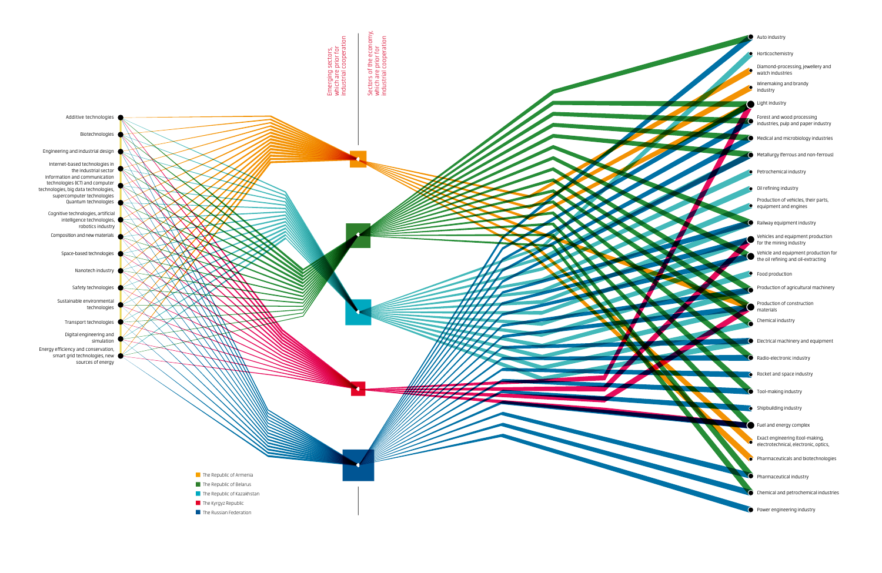Horticochemistry

Railway equipment industry

Chemical and petrochemical industries

**Power engineering industry** 

Diamond-processing, jewellery and watch industries

Winemaking and brandy industry

Light industry



#### **Auto industry**

Forest and wood processing industries, pulp and paper industry

**Medical and microbiology industries** 

**Metallurgy (ferrous and non-ferrous)** 

**Petrochemical industry** 

**Oil refining industry** 

Production of vehicles, their parts, equipment and engines

Vehicles and equipment production for the mining industry

Vehicle and equipment production for the oil refining and oil-extracting

**C** Food production

Production of agricultural machinery

Production of construction materials

Chemical industry

Electrical machinery and equipment

**Radio-electronic industry** 

Rocket and space industry

**O** Tool-making industry

**Shipbuilding industry** 

Fuel and energy complex

Exact engineering (tool-making, electrotechnical, electronic, optics,

**Pharmaceuticals and biotechnologies** 

 $\bullet$  Pharmaceutical industry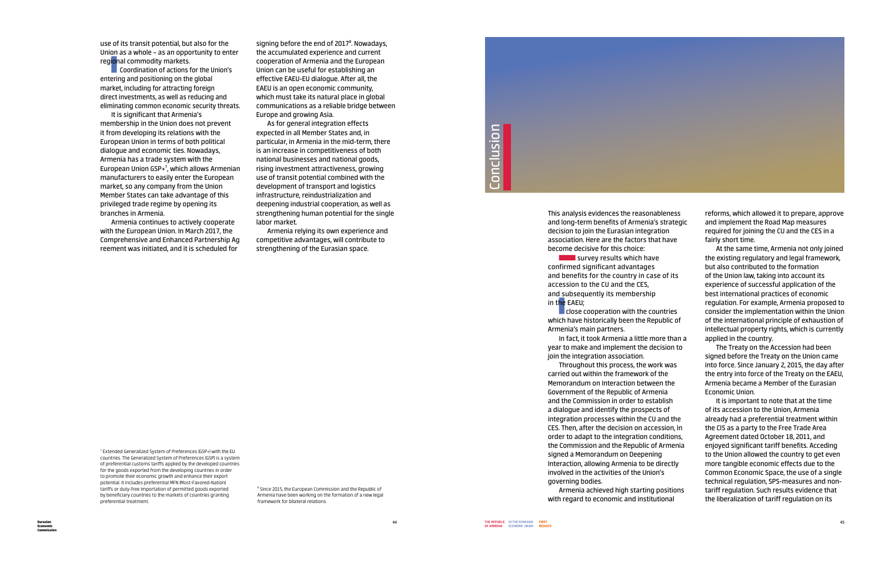

use of its transit potential, but also for the Union as a whole – as an opportunity to enter regional commodity markets.

**Coordination of actions for the Union's** entering and positioning on the global market, including for attracting foreign direct investments, as well as reducing and eliminating common economic security threats.

It is significant that Armenia's membership in the Union does not prevent it from developing its relations with the European Union in terms of both political dialogue and economic ties. Nowadays, Armenia has a trade system with the European Union GSP+ 7 , which allows Armenian manufacturers to easily enter the European market, so any company from the Union Member States can take advantage of this privileged trade regime by opening its branches in Armenia.

Armenia continues to actively cooperate with the European Union. In March 2017, the Comprehensive and Enhanced Partnership Ag reement was initiated, and it is scheduled for

> survey results which have confirmed significant advantages and benefits for the country in case of its accession to the CU and the CES, and subsequently its membership in the EAEU;

signing before the end of 2017 8 . Nowadays, the accumulated experience and current cooperation of Armenia and the European Union can be useful for establishing an effective EAEU-EU dialogue. After all, the EAEU is an open economic community, which must take its natural place in global communications as a reliable bridge between Europe and growing Asia.

> **Close cooperation with the countries** which have historically been the Republic of Armenia's main partners.

As for general integration effects expected in all Member States and, in particular, in Armenia in the mid-term, there is an increase in competitiveness of both national businesses and national goods, rising investment attractiveness, growing use of transit potential combined with the development of transport and logistics infrastructure, reindustrialization and deepening industrial cooperation, as well as strengthening human potential for the single labor market.

Armenia relying its own experience and competitive advantages, will contribute to strengthening of the Eurasian space.

This analysis evidences the reasonableness and long-term benefits of Armenia's strategic decision to join the Eurasian integration association. Here are the factors that have become decisive for this choice:

In fact, it took Armenia a little more than a year to make and implement the decision to join the integration association.

<sup>8</sup> Since 2015, the European Commission and the Republic of Armenia have been working on the formation of a new legal framework for bilateral relations.

Throughout this process, the work was carried out within the framework of the Memorandum on Interaction between the Government of the Republic of Armenia and the Commission in order to establish a dialogue and identify the prospects of integration processes within the CU and the CES. Then, after the decision on accession, in order to adapt to the integration conditions, the Commission and the Republic of Armenia signed a Memorandum on Deepening Interaction, allowing Armenia to be directly involved in the activities of the Union's governing bodies.

Armenia achieved high starting positions with regard to economic and institutional

reforms, which allowed it to prepare, approve and implement the Road Map measures required for joining the CU and the CES in a fairly short time.

At the same time, Armenia not only joined the existing regulatory and legal framework, but also contributed to the formation of the Union law, taking into account its experience of successful application of the best international practices of economic regulation. For example, Armenia proposed to consider the implementation within the Union of the international principle of exhaustion of intellectual property rights, which is currently applied in the country.

The Treaty on the Accession had been signed before the Treaty on the Union came into force. Since January 2, 2015, the day after the entry into force of the Treaty on the EAEU, Armenia became a Member of the Eurasian Economic Union.

It is important to note that at the time of its accession to the Union, Armenia already had a preferential treatment within the CIS as a party to the Free Trade Area Agreement dated October 18, 2011, and enjoyed significant tariff benefits. Acceding to the Union allowed the country to get even more tangible economic effects due to the Common Economic Space, the use of a single technical regulation, SPS-measures and nontariff regulation. Such results evidence that the liberalization of tariff regulation on its

7 Extended Generalized System of Preferences (GSP+) with the EU countries. The Generalized System of Preferences (GSP) is a system of preferential customs tariffs applied by the developed countries for the goods exported from the developing countries in order to promote their economic growth and enhance their export potential. It includes preferential MFN (Most-Favored-Nation) tariffs or duty-free importation of permitted goods exported by beneficiary countries to the markets of countries granting preferential treatment.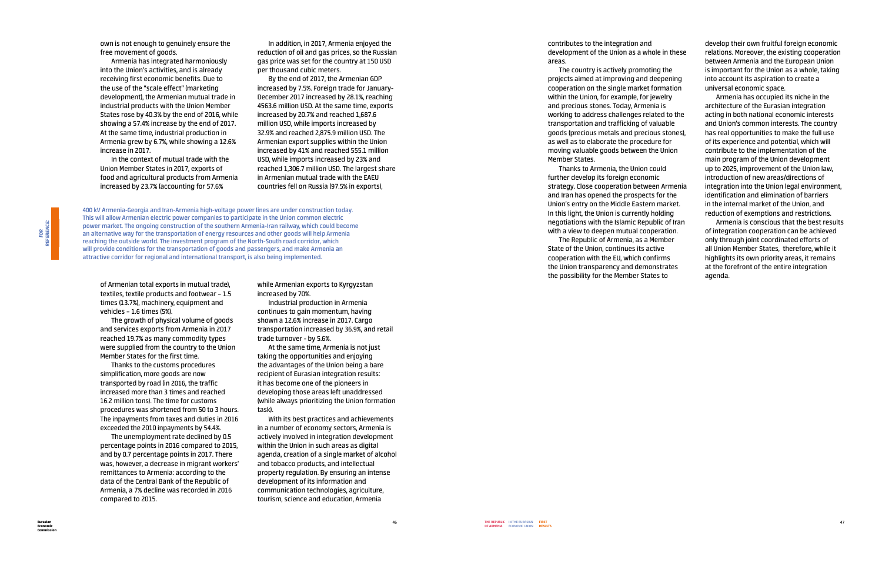own is not enough to genuinely ensure the free movement of goods.

Armenia has integrated harmoniously into the Union's activities, and is already receiving first economic benefits. Due to the use of the "scale effect" (marketing development), the Armenian mutual trade in industrial products with the Union Member States rose by 40.3% by the end of 2016, while showing a 57.4% increase by the end of 2017. At the same time, industrial production in Armenia grew by 6.7%, while showing a 12.6% increase in 2017.

In the context of mutual trade with the Union Member States in 2017, exports of food and agricultural products from Armenia increased by 23.7% (accounting for 57.6%

of Armenian total exports in mutual trade), textiles, textile products and footwear – 1.5 times (13.7%), machinery, equipment and vehicles – 1.6 times (5%).

The growth of physical volume of goods and services exports from Armenia in 2017 reached 19.7% as many commodity types were supplied from the country to the Union Member States for the first time.

Thanks to the customs procedures simplification, more goods are now transported by road (in 2016, the traffic increased more than 3 times and reached 16.2 million tons). The time for customs procedures was shortened from 50 to 3 hours. The inpayments from taxes and duties in 2016 exceeded the 2010 inpayments by 54.4%.

The unemployment rate declined by 0.5 percentage points in 2016 compared to 2015, and by 0.7 percentage points in 2017. There was, however, a decrease in migrant workers' remittances to Armenia: according to the data of the Central Bank of the Republic of Armenia, a 7% decline was recorded in 2016 compared to 2015.

In addition, in 2017, Armenia enjoyed the reduction of oil and gas prices, so the Russian gas price was set for the country at 150 USD per thousand cubic meters.

By the end of 2017, the Armenian GDP increased by 7.5%. Foreign trade for January-December 2017 increased by 28.1%, reaching 4563.6 million USD. At the same time, exports increased by 20.7% and reached 1,687.6 million USD, while imports increased by 32.9% and reached 2,875.9 million USD. The Armenian export supplies within the Union increased by 41% and reached 555.1 million USD, while imports increased by 23% and reached 1,306.7 million USD. The largest share in Armenian mutual trade with the EAEU countries fell on Russia (97.5% in exports),

while Armenian exports to Kyrgyzstan increased by 70%.

Industrial production in Armenia continues to gain momentum, having shown a 12.6% increase in 2017. Cargo transportation increased by 36.9%, and retail trade turnover - by 5.6%.

At the same time, Armenia is not just taking the opportunities and enjoying the advantages of the Union being a bare recipient of Eurasian integration results: it has become one of the pioneers in developing those areas left unaddressed (while always prioritizing the Union formation task).

With its best practices and achievements in a number of economy sectors, Armenia is actively involved in integration development within the Union in such areas as digital agenda, creation of a single market of alcohol and tobacco products, and intellectual property regulation. By ensuring an intense development of its information and communication technologies, agriculture, tourism, science and education, Armenia

**400 kV Armenia-Georgia and Iran-Armenia high-voltage power lines are under construction today. This will allow Armenian electric power companies to participate in the Union common electric power market. The ongoing construction of the southern Armenia-Iran railway, which could become an alternative way for the transportation of energy resources and other goods will help Armenia reaching the outside world. The investment program of the North-South road corridor, which will provide conditions for the transportation of goods and passengers, and make Armenia an attractive corridor for regional and international transport, is also being implemented.**

contributes to the integration and development of the Union as a whole in these areas.

The country is actively promoting the projects aimed at improving and deepening cooperation on the single market formation within the Union, for example, for jewelry and precious stones. Today, Armenia is working to address challenges related to the transportation and trafficking of valuable goods (precious metals and precious stones), as well as to elaborate the procedure for moving valuable goods between the Union Member States.

Thanks to Armenia, the Union could further develop its foreign economic strategy. Close cooperation between Armenia and Iran has opened the prospects for the Union's entry on the Middle Eastern market. In this light, the Union is currently holding negotiations with the Islamic Republic of Iran with a view to deepen mutual cooperation.

The Republic of Armenia, as a Member State of the Union, continues its active cooperation with the EU, which confirms the Union transparency and demonstrates the possibility for the Member States to

develop their own fruitful foreign economic relations. Moreover, the existing cooperation between Armenia and the European Union is important for the Union as a whole, taking into account its aspiration to create a universal economic space.

Armenia has occupied its niche in the architecture of the Eurasian integration acting in both national economic interests and Union's common interests. The country has real opportunities to make the full use of its experience and potential, which will contribute to the implementation of the main program of the Union development up to 2025, improvement of the Union law, introduction of new areas/directions of integration into the Union legal environment, identification and elimination of barriers in the internal market of the Union, and reduction of exemptions and restrictions.

Armenia is conscious that the best results of integration cooperation can be achieved only through joint coordinated efforts of all Union Member States, therefore, while it highlights its own priority areas, it remains at the forefront of the entire integration agenda.